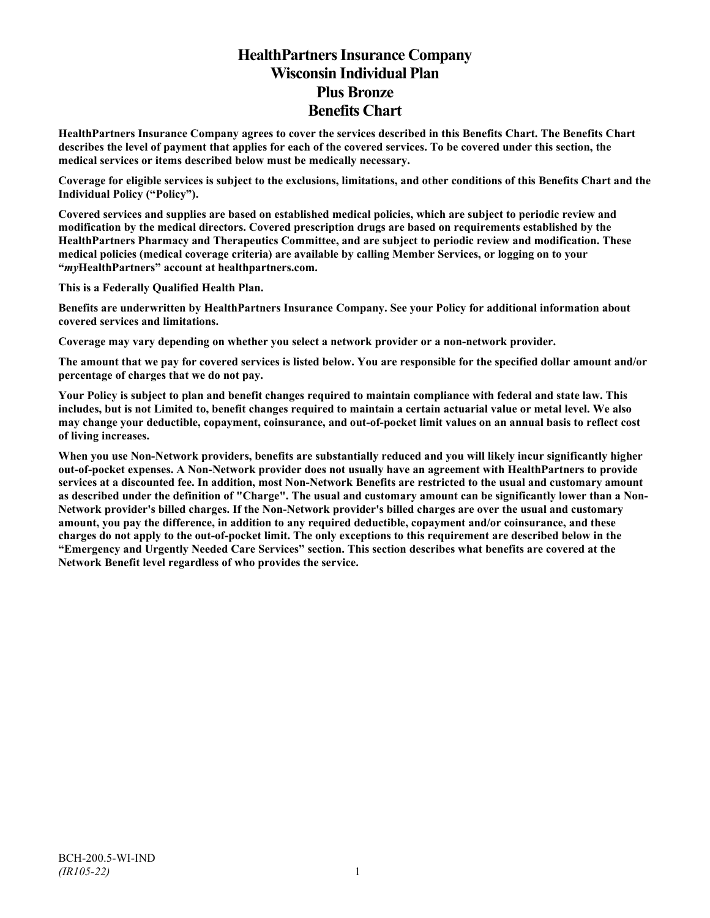# **HealthPartners Insurance Company Wisconsin Individual Plan Plus Bronze Benefits Chart**

**HealthPartners Insurance Company agrees to cover the services described in this Benefits Chart. The Benefits Chart describes the level of payment that applies for each of the covered services. To be covered under this section, the medical services or items described below must be medically necessary.**

**Coverage for eligible services is subject to the exclusions, limitations, and other conditions of this Benefits Chart and the Individual Policy ("Policy").**

**Covered services and supplies are based on established medical policies, which are subject to periodic review and modification by the medical directors. Covered prescription drugs are based on requirements established by the HealthPartners Pharmacy and Therapeutics Committee, and are subject to periodic review and modification. These medical policies (medical coverage criteria) are available by calling Member Services, or logging on to your "***my***HealthPartners" account at [healthpartners.com.](http://www.healthpartners.com/)**

**This is a Federally Qualified Health Plan.**

**Benefits are underwritten by HealthPartners Insurance Company. See your Policy for additional information about covered services and limitations.**

**Coverage may vary depending on whether you select a network provider or a non-network provider.**

**The amount that we pay for covered services is listed below. You are responsible for the specified dollar amount and/or percentage of charges that we do not pay.**

**Your Policy is subject to plan and benefit changes required to maintain compliance with federal and state law. This includes, but is not Limited to, benefit changes required to maintain a certain actuarial value or metal level. We also may change your deductible, copayment, coinsurance, and out-of-pocket limit values on an annual basis to reflect cost of living increases.**

**When you use Non-Network providers, benefits are substantially reduced and you will likely incur significantly higher out-of-pocket expenses. A Non-Network provider does not usually have an agreement with HealthPartners to provide services at a discounted fee. In addition, most Non-Network Benefits are restricted to the usual and customary amount as described under the definition of "Charge". The usual and customary amount can be significantly lower than a Non-Network provider's billed charges. If the Non-Network provider's billed charges are over the usual and customary amount, you pay the difference, in addition to any required deductible, copayment and/or coinsurance, and these charges do not apply to the out-of-pocket limit. The only exceptions to this requirement are described below in the "Emergency and Urgently Needed Care Services" section. This section describes what benefits are covered at the Network Benefit level regardless of who provides the service.**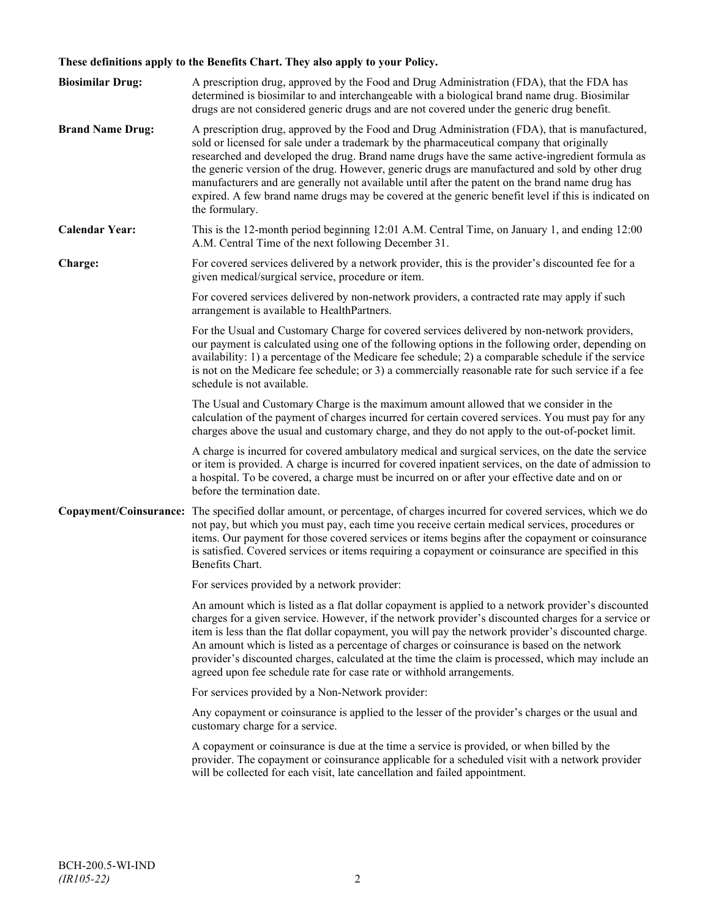# **These definitions apply to the Benefits Chart. They also apply to your Policy.**

| <b>Biosimilar Drug:</b> | A prescription drug, approved by the Food and Drug Administration (FDA), that the FDA has<br>determined is biosimilar to and interchangeable with a biological brand name drug. Biosimilar<br>drugs are not considered generic drugs and are not covered under the generic drug benefit.                                                                                                                                                                                                                                                                                                                                     |
|-------------------------|------------------------------------------------------------------------------------------------------------------------------------------------------------------------------------------------------------------------------------------------------------------------------------------------------------------------------------------------------------------------------------------------------------------------------------------------------------------------------------------------------------------------------------------------------------------------------------------------------------------------------|
| <b>Brand Name Drug:</b> | A prescription drug, approved by the Food and Drug Administration (FDA), that is manufactured,<br>sold or licensed for sale under a trademark by the pharmaceutical company that originally<br>researched and developed the drug. Brand name drugs have the same active-ingredient formula as<br>the generic version of the drug. However, generic drugs are manufactured and sold by other drug<br>manufacturers and are generally not available until after the patent on the brand name drug has<br>expired. A few brand name drugs may be covered at the generic benefit level if this is indicated on<br>the formulary. |
| <b>Calendar Year:</b>   | This is the 12-month period beginning 12:01 A.M. Central Time, on January 1, and ending 12:00<br>A.M. Central Time of the next following December 31.                                                                                                                                                                                                                                                                                                                                                                                                                                                                        |
| Charge:                 | For covered services delivered by a network provider, this is the provider's discounted fee for a<br>given medical/surgical service, procedure or item.                                                                                                                                                                                                                                                                                                                                                                                                                                                                      |
|                         | For covered services delivered by non-network providers, a contracted rate may apply if such<br>arrangement is available to HealthPartners.                                                                                                                                                                                                                                                                                                                                                                                                                                                                                  |
|                         | For the Usual and Customary Charge for covered services delivered by non-network providers,<br>our payment is calculated using one of the following options in the following order, depending on<br>availability: 1) a percentage of the Medicare fee schedule; 2) a comparable schedule if the service<br>is not on the Medicare fee schedule; or 3) a commercially reasonable rate for such service if a fee<br>schedule is not available.                                                                                                                                                                                 |
|                         | The Usual and Customary Charge is the maximum amount allowed that we consider in the<br>calculation of the payment of charges incurred for certain covered services. You must pay for any<br>charges above the usual and customary charge, and they do not apply to the out-of-pocket limit.                                                                                                                                                                                                                                                                                                                                 |
|                         | A charge is incurred for covered ambulatory medical and surgical services, on the date the service<br>or item is provided. A charge is incurred for covered inpatient services, on the date of admission to<br>a hospital. To be covered, a charge must be incurred on or after your effective date and on or<br>before the termination date.                                                                                                                                                                                                                                                                                |
|                         | Copayment/Coinsurance: The specified dollar amount, or percentage, of charges incurred for covered services, which we do<br>not pay, but which you must pay, each time you receive certain medical services, procedures or<br>items. Our payment for those covered services or items begins after the copayment or coinsurance<br>is satisfied. Covered services or items requiring a copayment or coinsurance are specified in this<br>Benefits Chart.                                                                                                                                                                      |
|                         | For services provided by a network provider:                                                                                                                                                                                                                                                                                                                                                                                                                                                                                                                                                                                 |
|                         | An amount which is listed as a flat dollar copayment is applied to a network provider's discounted<br>charges for a given service. However, if the network provider's discounted charges for a service or<br>item is less than the flat dollar copayment, you will pay the network provider's discounted charge.<br>An amount which is listed as a percentage of charges or coinsurance is based on the network<br>provider's discounted charges, calculated at the time the claim is processed, which may include an<br>agreed upon fee schedule rate for case rate or withhold arrangements.                               |
|                         | For services provided by a Non-Network provider:                                                                                                                                                                                                                                                                                                                                                                                                                                                                                                                                                                             |
|                         | Any copayment or coinsurance is applied to the lesser of the provider's charges or the usual and<br>customary charge for a service.                                                                                                                                                                                                                                                                                                                                                                                                                                                                                          |
|                         | A copayment or coinsurance is due at the time a service is provided, or when billed by the<br>provider. The copayment or coinsurance applicable for a scheduled visit with a network provider<br>will be collected for each visit, late cancellation and failed appointment.                                                                                                                                                                                                                                                                                                                                                 |
|                         |                                                                                                                                                                                                                                                                                                                                                                                                                                                                                                                                                                                                                              |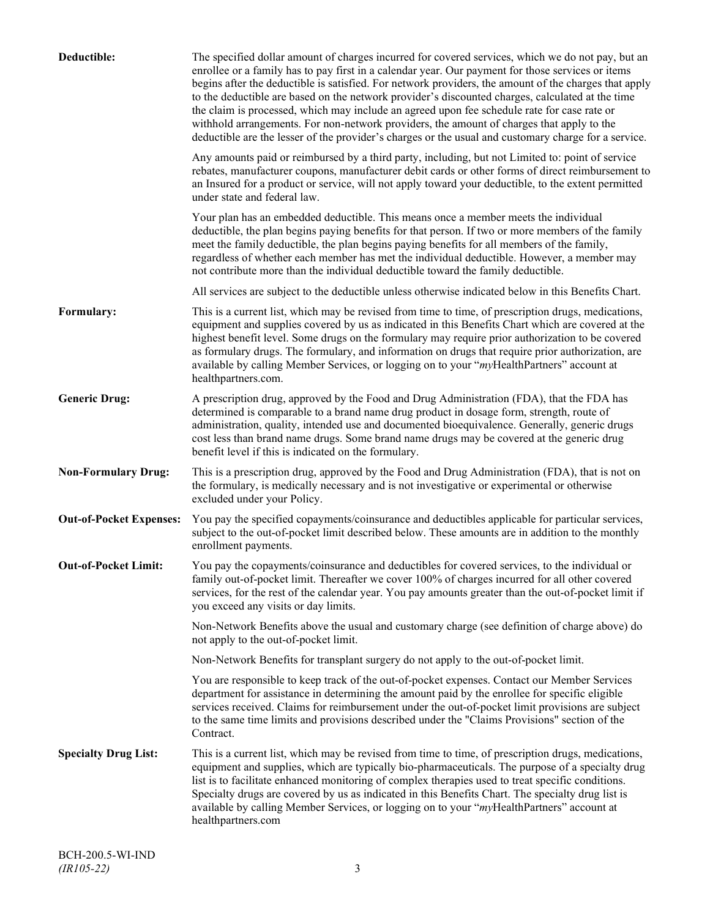| Deductible:                    | The specified dollar amount of charges incurred for covered services, which we do not pay, but an<br>enrollee or a family has to pay first in a calendar year. Our payment for those services or items<br>begins after the deductible is satisfied. For network providers, the amount of the charges that apply<br>to the deductible are based on the network provider's discounted charges, calculated at the time<br>the claim is processed, which may include an agreed upon fee schedule rate for case rate or<br>withhold arrangements. For non-network providers, the amount of charges that apply to the<br>deductible are the lesser of the provider's charges or the usual and customary charge for a service. |
|--------------------------------|-------------------------------------------------------------------------------------------------------------------------------------------------------------------------------------------------------------------------------------------------------------------------------------------------------------------------------------------------------------------------------------------------------------------------------------------------------------------------------------------------------------------------------------------------------------------------------------------------------------------------------------------------------------------------------------------------------------------------|
|                                | Any amounts paid or reimbursed by a third party, including, but not Limited to: point of service<br>rebates, manufacturer coupons, manufacturer debit cards or other forms of direct reimbursement to<br>an Insured for a product or service, will not apply toward your deductible, to the extent permitted<br>under state and federal law.                                                                                                                                                                                                                                                                                                                                                                            |
|                                | Your plan has an embedded deductible. This means once a member meets the individual<br>deductible, the plan begins paying benefits for that person. If two or more members of the family<br>meet the family deductible, the plan begins paying benefits for all members of the family,<br>regardless of whether each member has met the individual deductible. However, a member may<br>not contribute more than the individual deductible toward the family deductible.                                                                                                                                                                                                                                                |
|                                | All services are subject to the deductible unless otherwise indicated below in this Benefits Chart.                                                                                                                                                                                                                                                                                                                                                                                                                                                                                                                                                                                                                     |
| Formulary:                     | This is a current list, which may be revised from time to time, of prescription drugs, medications,<br>equipment and supplies covered by us as indicated in this Benefits Chart which are covered at the<br>highest benefit level. Some drugs on the formulary may require prior authorization to be covered<br>as formulary drugs. The formulary, and information on drugs that require prior authorization, are<br>available by calling Member Services, or logging on to your "myHealthPartners" account at<br>healthpartners.com.                                                                                                                                                                                   |
| <b>Generic Drug:</b>           | A prescription drug, approved by the Food and Drug Administration (FDA), that the FDA has<br>determined is comparable to a brand name drug product in dosage form, strength, route of<br>administration, quality, intended use and documented bioequivalence. Generally, generic drugs<br>cost less than brand name drugs. Some brand name drugs may be covered at the generic drug<br>benefit level if this is indicated on the formulary.                                                                                                                                                                                                                                                                             |
| <b>Non-Formulary Drug:</b>     | This is a prescription drug, approved by the Food and Drug Administration (FDA), that is not on<br>the formulary, is medically necessary and is not investigative or experimental or otherwise<br>excluded under your Policy.                                                                                                                                                                                                                                                                                                                                                                                                                                                                                           |
| <b>Out-of-Pocket Expenses:</b> | You pay the specified copayments/coinsurance and deductibles applicable for particular services,<br>subject to the out-of-pocket limit described below. These amounts are in addition to the monthly<br>enrollment payments.                                                                                                                                                                                                                                                                                                                                                                                                                                                                                            |
| <b>Out-of-Pocket Limit:</b>    | You pay the copayments/coinsurance and deductibles for covered services, to the individual or<br>family out-of-pocket limit. Thereafter we cover 100% of charges incurred for all other covered<br>services, for the rest of the calendar year. You pay amounts greater than the out-of-pocket limit if<br>you exceed any visits or day limits.                                                                                                                                                                                                                                                                                                                                                                         |
|                                | Non-Network Benefits above the usual and customary charge (see definition of charge above) do<br>not apply to the out-of-pocket limit.                                                                                                                                                                                                                                                                                                                                                                                                                                                                                                                                                                                  |
|                                | Non-Network Benefits for transplant surgery do not apply to the out-of-pocket limit.                                                                                                                                                                                                                                                                                                                                                                                                                                                                                                                                                                                                                                    |
|                                | You are responsible to keep track of the out-of-pocket expenses. Contact our Member Services<br>department for assistance in determining the amount paid by the enrollee for specific eligible<br>services received. Claims for reimbursement under the out-of-pocket limit provisions are subject<br>to the same time limits and provisions described under the "Claims Provisions" section of the<br>Contract.                                                                                                                                                                                                                                                                                                        |
| <b>Specialty Drug List:</b>    | This is a current list, which may be revised from time to time, of prescription drugs, medications,<br>equipment and supplies, which are typically bio-pharmaceuticals. The purpose of a specialty drug<br>list is to facilitate enhanced monitoring of complex therapies used to treat specific conditions.<br>Specialty drugs are covered by us as indicated in this Benefits Chart. The specialty drug list is<br>available by calling Member Services, or logging on to your "myHealthPartners" account at<br>healthpartners.com                                                                                                                                                                                    |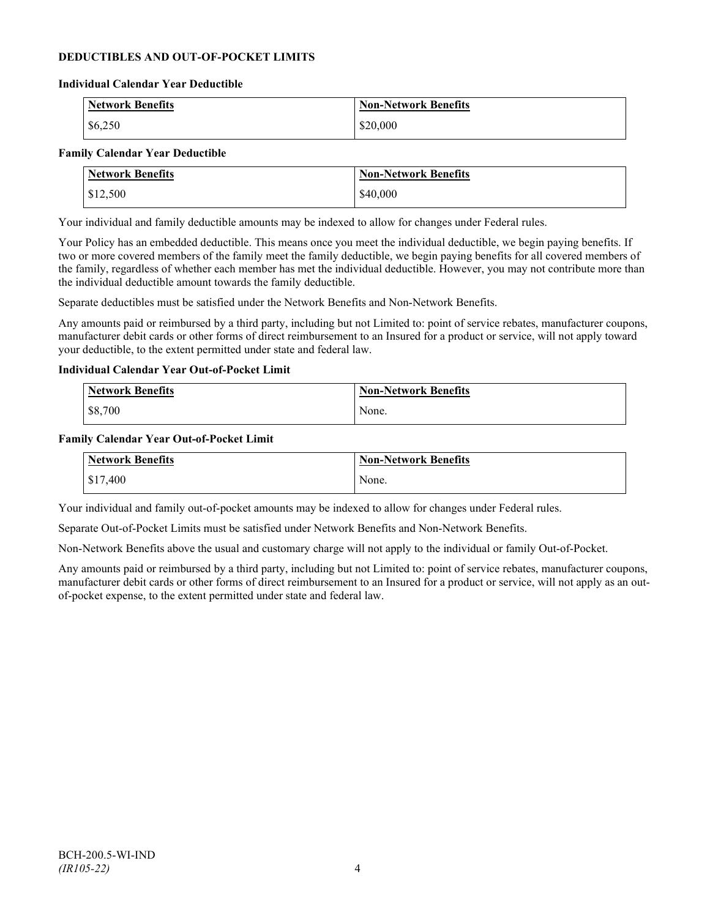### **DEDUCTIBLES AND OUT-OF-POCKET LIMITS**

#### **Individual Calendar Year Deductible**

| <b>Network Benefits</b> | <b>Non-Network Benefits</b> |
|-------------------------|-----------------------------|
| \$6,250                 | \$20,000                    |

#### **Family Calendar Year Deductible**

| <b>Network Benefits</b> | <b>Non-Network Benefits</b> |
|-------------------------|-----------------------------|
| \$12,500                | \$40,000                    |

Your individual and family deductible amounts may be indexed to allow for changes under Federal rules.

Your Policy has an embedded deductible. This means once you meet the individual deductible, we begin paying benefits. If two or more covered members of the family meet the family deductible, we begin paying benefits for all covered members of the family, regardless of whether each member has met the individual deductible. However, you may not contribute more than the individual deductible amount towards the family deductible.

Separate deductibles must be satisfied under the Network Benefits and Non-Network Benefits.

Any amounts paid or reimbursed by a third party, including but not Limited to: point of service rebates, manufacturer coupons, manufacturer debit cards or other forms of direct reimbursement to an Insured for a product or service, will not apply toward your deductible, to the extent permitted under state and federal law.

#### **Individual Calendar Year Out-of-Pocket Limit**

| <b>Network Benefits</b> | <b>Non-Network Benefits</b> |
|-------------------------|-----------------------------|
| \$8,700                 | None.                       |

#### **Family Calendar Year Out-of-Pocket Limit**

| Network Benefits | Non-Network Benefits |
|------------------|----------------------|
| \$17,400         | None.                |

Your individual and family out-of-pocket amounts may be indexed to allow for changes under Federal rules.

Separate Out-of-Pocket Limits must be satisfied under Network Benefits and Non-Network Benefits.

Non-Network Benefits above the usual and customary charge will not apply to the individual or family Out-of-Pocket.

Any amounts paid or reimbursed by a third party, including but not Limited to: point of service rebates, manufacturer coupons, manufacturer debit cards or other forms of direct reimbursement to an Insured for a product or service, will not apply as an outof-pocket expense, to the extent permitted under state and federal law.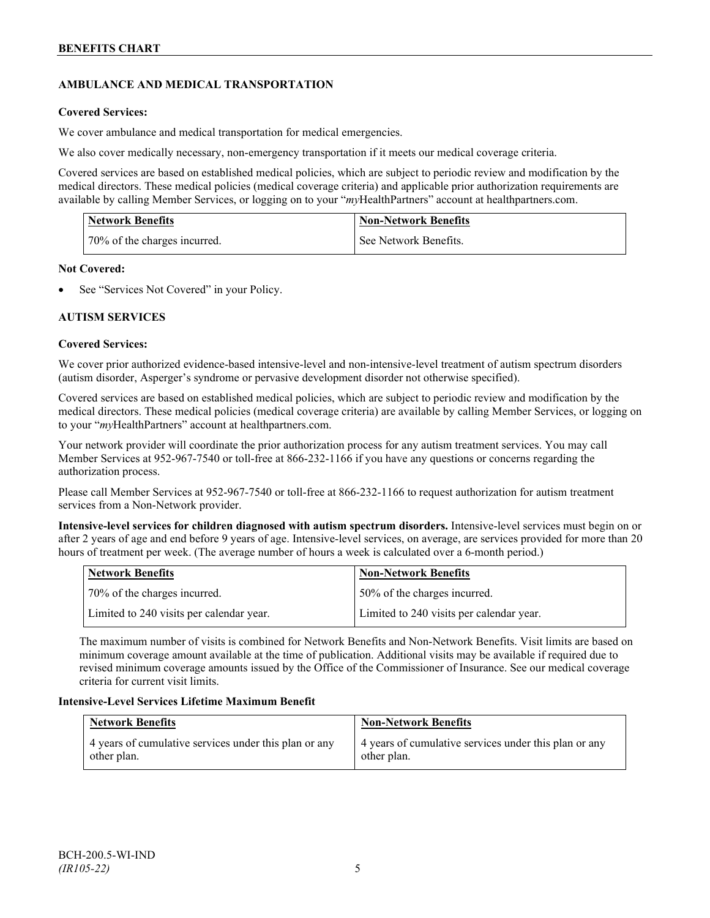## **AMBULANCE AND MEDICAL TRANSPORTATION**

### **Covered Services:**

We cover ambulance and medical transportation for medical emergencies.

We also cover medically necessary, non-emergency transportation if it meets our medical coverage criteria.

Covered services are based on established medical policies, which are subject to periodic review and modification by the medical directors. These medical policies (medical coverage criteria) and applicable prior authorization requirements are available by calling Member Services, or logging on to your "*my*HealthPartners" account a[t healthpartners.com.](http://www.healthpartners.com/)

| <b>Network Benefits</b>      | <b>Non-Network Benefits</b> |
|------------------------------|-----------------------------|
| 70% of the charges incurred. | See Network Benefits.       |

### **Not Covered:**

See "Services Not Covered" in your Policy.

### **AUTISM SERVICES**

### **Covered Services:**

We cover prior authorized evidence-based intensive-level and non-intensive-level treatment of autism spectrum disorders (autism disorder, Asperger's syndrome or pervasive development disorder not otherwise specified).

Covered services are based on established medical policies, which are subject to periodic review and modification by the medical directors. These medical policies (medical coverage criteria) are available by calling Member Services, or logging on to your "*my*HealthPartners" account at [healthpartners.com.](http://www.healthpartners.com/)

Your network provider will coordinate the prior authorization process for any autism treatment services. You may call Member Services at 952-967-7540 or toll-free at 866-232-1166 if you have any questions or concerns regarding the authorization process.

Please call Member Services at 952-967-7540 or toll-free at 866-232-1166 to request authorization for autism treatment services from a Non-Network provider.

**Intensive-level services for children diagnosed with autism spectrum disorders.** Intensive-level services must begin on or after 2 years of age and end before 9 years of age. Intensive-level services, on average, are services provided for more than 20 hours of treatment per week. (The average number of hours a week is calculated over a 6-month period.)

| Network Benefits                         | <b>Non-Network Benefits</b>              |
|------------------------------------------|------------------------------------------|
| 70% of the charges incurred.             | 150% of the charges incurred.            |
| Limited to 240 visits per calendar year. | Limited to 240 visits per calendar year. |

The maximum number of visits is combined for Network Benefits and Non-Network Benefits. Visit limits are based on minimum coverage amount available at the time of publication. Additional visits may be available if required due to revised minimum coverage amounts issued by the Office of the Commissioner of Insurance. See our medical coverage criteria for current visit limits.

### **Intensive-Level Services Lifetime Maximum Benefit**

| <b>Network Benefits</b>                               | <b>Non-Network Benefits</b>                           |
|-------------------------------------------------------|-------------------------------------------------------|
| 4 years of cumulative services under this plan or any | 4 years of cumulative services under this plan or any |
| other plan.                                           | other plan.                                           |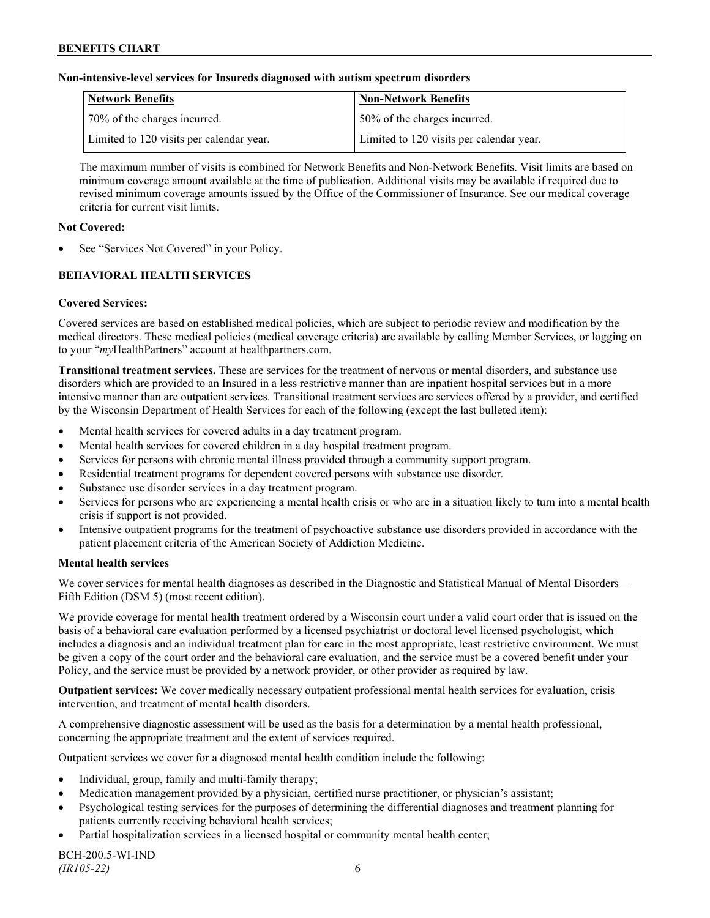### **Non-intensive-level services for Insureds diagnosed with autism spectrum disorders**

| Network Benefits                         | <b>Non-Network Benefits</b>              |
|------------------------------------------|------------------------------------------|
| 70% of the charges incurred.             | 50% of the charges incurred.             |
| Limited to 120 visits per calendar year. | Limited to 120 visits per calendar year. |

The maximum number of visits is combined for Network Benefits and Non-Network Benefits. Visit limits are based on minimum coverage amount available at the time of publication. Additional visits may be available if required due to revised minimum coverage amounts issued by the Office of the Commissioner of Insurance. See our medical coverage criteria for current visit limits.

#### **Not Covered:**

See "Services Not Covered" in your Policy.

## **BEHAVIORAL HEALTH SERVICES**

#### **Covered Services:**

Covered services are based on established medical policies, which are subject to periodic review and modification by the medical directors. These medical policies (medical coverage criteria) are available by calling Member Services, or logging on to your "*my*HealthPartners" account at [healthpartners.com.](http://www.healthpartners.com/)

**Transitional treatment services.** These are services for the treatment of nervous or mental disorders, and substance use disorders which are provided to an Insured in a less restrictive manner than are inpatient hospital services but in a more intensive manner than are outpatient services. Transitional treatment services are services offered by a provider, and certified by the Wisconsin Department of Health Services for each of the following (except the last bulleted item):

- Mental health services for covered adults in a day treatment program.
- Mental health services for covered children in a day hospital treatment program.
- Services for persons with chronic mental illness provided through a community support program.
- Residential treatment programs for dependent covered persons with substance use disorder.
- Substance use disorder services in a day treatment program.
- Services for persons who are experiencing a mental health crisis or who are in a situation likely to turn into a mental health crisis if support is not provided.
- Intensive outpatient programs for the treatment of psychoactive substance use disorders provided in accordance with the patient placement criteria of the American Society of Addiction Medicine.

#### **Mental health services**

We cover services for mental health diagnoses as described in the Diagnostic and Statistical Manual of Mental Disorders – Fifth Edition (DSM 5) (most recent edition).

We provide coverage for mental health treatment ordered by a Wisconsin court under a valid court order that is issued on the basis of a behavioral care evaluation performed by a licensed psychiatrist or doctoral level licensed psychologist, which includes a diagnosis and an individual treatment plan for care in the most appropriate, least restrictive environment. We must be given a copy of the court order and the behavioral care evaluation, and the service must be a covered benefit under your Policy, and the service must be provided by a network provider, or other provider as required by law.

**Outpatient services:** We cover medically necessary outpatient professional mental health services for evaluation, crisis intervention, and treatment of mental health disorders.

A comprehensive diagnostic assessment will be used as the basis for a determination by a mental health professional, concerning the appropriate treatment and the extent of services required.

Outpatient services we cover for a diagnosed mental health condition include the following:

- Individual, group, family and multi-family therapy;
- Medication management provided by a physician, certified nurse practitioner, or physician's assistant;
- Psychological testing services for the purposes of determining the differential diagnoses and treatment planning for patients currently receiving behavioral health services;
- Partial hospitalization services in a licensed hospital or community mental health center;

BCH-200.5-WI-IND *(IR105-22)* 6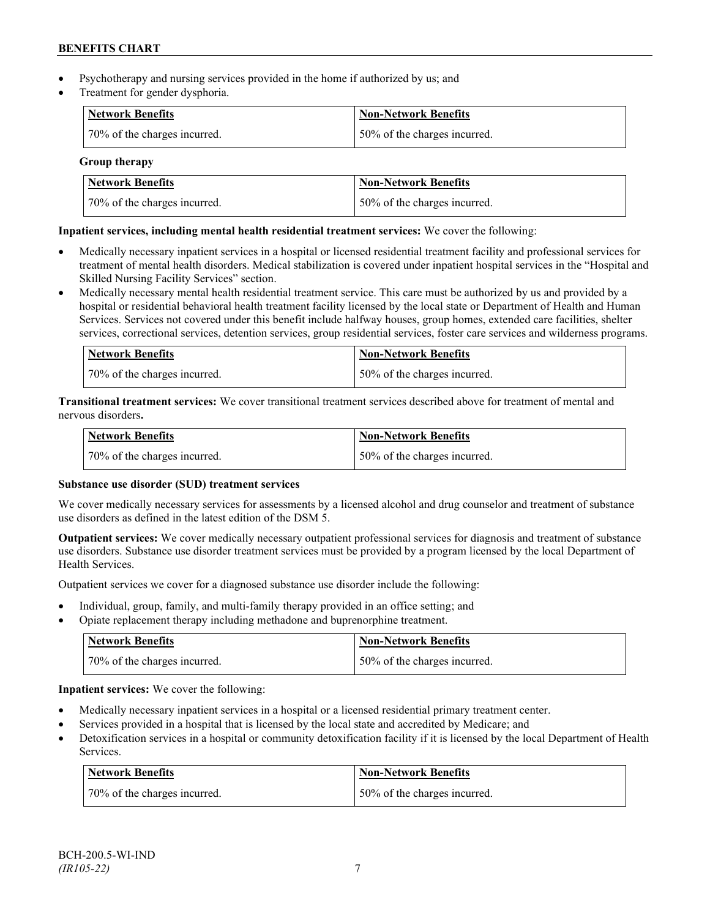- Psychotherapy and nursing services provided in the home if authorized by us; and
- Treatment for gender dysphoria.

| Network Benefits             | <b>Non-Network Benefits</b>  |
|------------------------------|------------------------------|
| 70% of the charges incurred. | 50% of the charges incurred. |

**Group therapy**

| Network Benefits             | Non-Network Benefits          |
|------------------------------|-------------------------------|
| 70% of the charges incurred. | 150% of the charges incurred. |

### **Inpatient services, including mental health residential treatment services:** We cover the following:

- Medically necessary inpatient services in a hospital or licensed residential treatment facility and professional services for treatment of mental health disorders. Medical stabilization is covered under inpatient hospital services in the "Hospital and Skilled Nursing Facility Services" section.
- Medically necessary mental health residential treatment service. This care must be authorized by us and provided by a hospital or residential behavioral health treatment facility licensed by the local state or Department of Health and Human Services. Services not covered under this benefit include halfway houses, group homes, extended care facilities, shelter services, correctional services, detention services, group residential services, foster care services and wilderness programs.

| Network Benefits             | Non-Network Benefits         |
|------------------------------|------------------------------|
| 70% of the charges incurred. | 50% of the charges incurred. |

**Transitional treatment services:** We cover transitional treatment services described above for treatment of mental and nervous disorders**.**

| <b>Network Benefits</b>      | <b>Non-Network Benefits</b>  |
|------------------------------|------------------------------|
| 70% of the charges incurred. | 50% of the charges incurred. |

### **Substance use disorder (SUD) treatment services**

We cover medically necessary services for assessments by a licensed alcohol and drug counselor and treatment of substance use disorders as defined in the latest edition of the DSM 5.

**Outpatient services:** We cover medically necessary outpatient professional services for diagnosis and treatment of substance use disorders. Substance use disorder treatment services must be provided by a program licensed by the local Department of Health Services.

Outpatient services we cover for a diagnosed substance use disorder include the following:

- Individual, group, family, and multi-family therapy provided in an office setting; and
- Opiate replacement therapy including methadone and buprenorphine treatment.

| <b>Network Benefits</b>      | <b>Non-Network Benefits</b>  |
|------------------------------|------------------------------|
| 70% of the charges incurred. | 50% of the charges incurred. |

**Inpatient services:** We cover the following:

- Medically necessary inpatient services in a hospital or a licensed residential primary treatment center.
- Services provided in a hospital that is licensed by the local state and accredited by Medicare; and
- Detoxification services in a hospital or community detoxification facility if it is licensed by the local Department of Health Services.

| Network Benefits             | <b>Non-Network Benefits</b>  |
|------------------------------|------------------------------|
| 70% of the charges incurred. | 50% of the charges incurred. |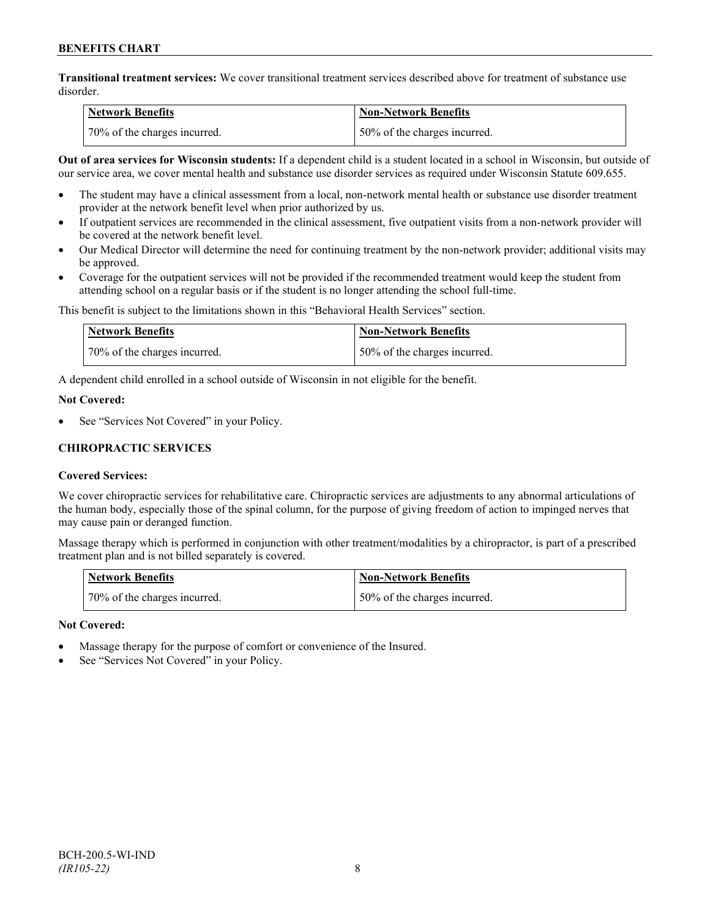**Transitional treatment services:** We cover transitional treatment services described above for treatment of substance use disorder.

| <b>Network Benefits</b>      | <b>Non-Network Benefits</b>  |
|------------------------------|------------------------------|
| 70% of the charges incurred. | 50% of the charges incurred. |

**Out of area services for Wisconsin students:** If a dependent child is a student located in a school in Wisconsin, but outside of our service area, we cover mental health and substance use disorder services as required under Wisconsin Statute 609.655.

- The student may have a clinical assessment from a local, non-network mental health or substance use disorder treatment provider at the network benefit level when prior authorized by us.
- If outpatient services are recommended in the clinical assessment, five outpatient visits from a non-network provider will be covered at the network benefit level.
- Our Medical Director will determine the need for continuing treatment by the non-network provider; additional visits may be approved.
- Coverage for the outpatient services will not be provided if the recommended treatment would keep the student from attending school on a regular basis or if the student is no longer attending the school full-time.

This benefit is subject to the limitations shown in this "Behavioral Health Services" section.

| Network Benefits             | Non-Network Benefits         |
|------------------------------|------------------------------|
| 70% of the charges incurred. | 50% of the charges incurred. |

A dependent child enrolled in a school outside of Wisconsin in not eligible for the benefit.

#### **Not Covered:**

See "Services Not Covered" in your Policy.

### **CHIROPRACTIC SERVICES**

### **Covered Services:**

We cover chiropractic services for rehabilitative care. Chiropractic services are adjustments to any abnormal articulations of the human body, especially those of the spinal column, for the purpose of giving freedom of action to impinged nerves that may cause pain or deranged function.

Massage therapy which is performed in conjunction with other treatment/modalities by a chiropractor, is part of a prescribed treatment plan and is not billed separately is covered.

| <b>Network Benefits</b>      | Non-Network Benefits         |
|------------------------------|------------------------------|
| 70% of the charges incurred. | 50% of the charges incurred. |

### **Not Covered:**

- Massage therapy for the purpose of comfort or convenience of the Insured.
- See "Services Not Covered" in your Policy.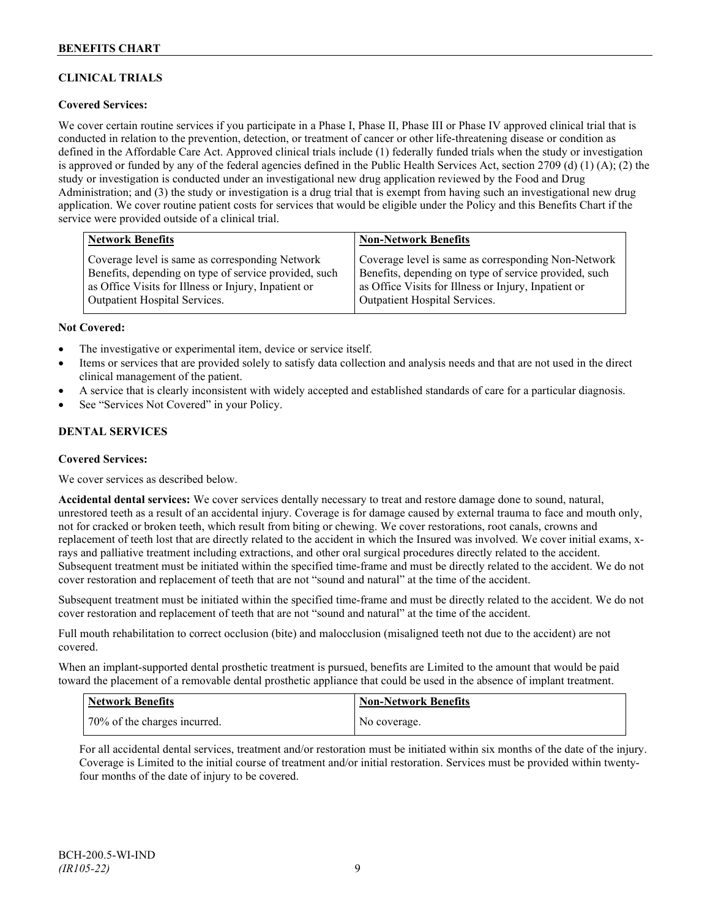## **CLINICAL TRIALS**

### **Covered Services:**

We cover certain routine services if you participate in a Phase I, Phase II, Phase III or Phase IV approved clinical trial that is conducted in relation to the prevention, detection, or treatment of cancer or other life-threatening disease or condition as defined in the Affordable Care Act. Approved clinical trials include (1) federally funded trials when the study or investigation is approved or funded by any of the federal agencies defined in the Public Health Services Act, section 2709 (d) (1) (A); (2) the study or investigation is conducted under an investigational new drug application reviewed by the Food and Drug Administration; and (3) the study or investigation is a drug trial that is exempt from having such an investigational new drug application. We cover routine patient costs for services that would be eligible under the Policy and this Benefits Chart if the service were provided outside of a clinical trial.

| <b>Network Benefits</b>                               | <b>Non-Network Benefits</b>                           |
|-------------------------------------------------------|-------------------------------------------------------|
| Coverage level is same as corresponding Network       | Coverage level is same as corresponding Non-Network   |
| Benefits, depending on type of service provided, such | Benefits, depending on type of service provided, such |
| as Office Visits for Illness or Injury, Inpatient or  | as Office Visits for Illness or Injury, Inpatient or  |
| <b>Outpatient Hospital Services.</b>                  | Outpatient Hospital Services.                         |

#### **Not Covered:**

- The investigative or experimental item, device or service itself.
- Items or services that are provided solely to satisfy data collection and analysis needs and that are not used in the direct clinical management of the patient.
- A service that is clearly inconsistent with widely accepted and established standards of care for a particular diagnosis.
- See "Services Not Covered" in your Policy.

### **DENTAL SERVICES**

#### **Covered Services:**

We cover services as described below.

**Accidental dental services:** We cover services dentally necessary to treat and restore damage done to sound, natural, unrestored teeth as a result of an accidental injury. Coverage is for damage caused by external trauma to face and mouth only, not for cracked or broken teeth, which result from biting or chewing. We cover restorations, root canals, crowns and replacement of teeth lost that are directly related to the accident in which the Insured was involved. We cover initial exams, xrays and palliative treatment including extractions, and other oral surgical procedures directly related to the accident. Subsequent treatment must be initiated within the specified time-frame and must be directly related to the accident. We do not cover restoration and replacement of teeth that are not "sound and natural" at the time of the accident.

Subsequent treatment must be initiated within the specified time-frame and must be directly related to the accident. We do not cover restoration and replacement of teeth that are not "sound and natural" at the time of the accident.

Full mouth rehabilitation to correct occlusion (bite) and malocclusion (misaligned teeth not due to the accident) are not covered.

When an implant-supported dental prosthetic treatment is pursued, benefits are Limited to the amount that would be paid toward the placement of a removable dental prosthetic appliance that could be used in the absence of implant treatment.

| <b>Network Benefits</b>      | Non-Network Benefits |
|------------------------------|----------------------|
| 70% of the charges incurred. | No coverage.         |

For all accidental dental services, treatment and/or restoration must be initiated within six months of the date of the injury. Coverage is Limited to the initial course of treatment and/or initial restoration. Services must be provided within twentyfour months of the date of injury to be covered.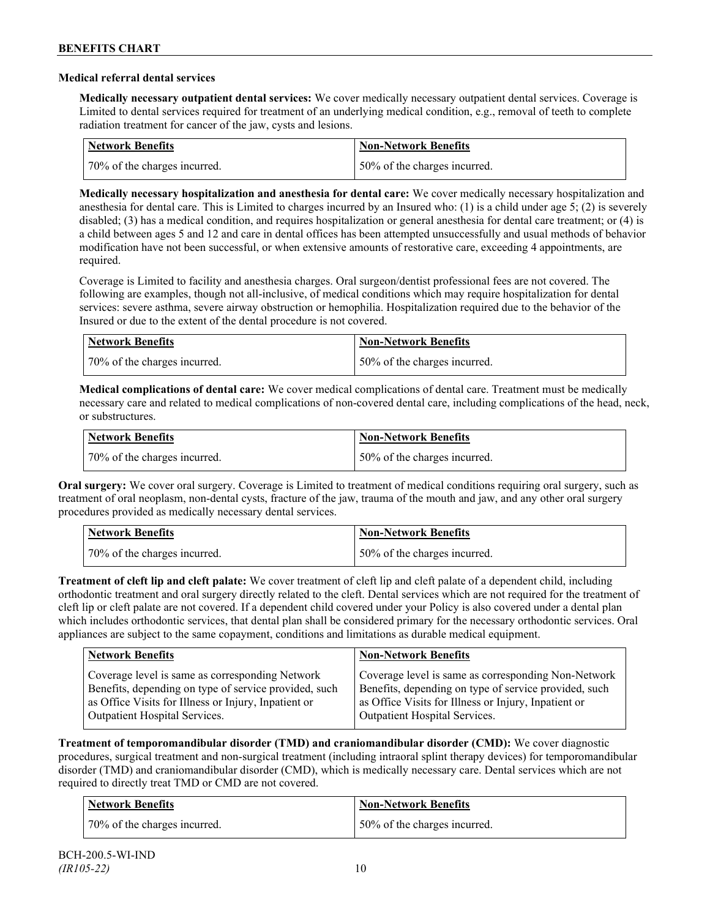### **Medical referral dental services**

**Medically necessary outpatient dental services:** We cover medically necessary outpatient dental services. Coverage is Limited to dental services required for treatment of an underlying medical condition, e.g., removal of teeth to complete radiation treatment for cancer of the jaw, cysts and lesions.

| Network Benefits             | <b>Non-Network Benefits</b>  |
|------------------------------|------------------------------|
| 70% of the charges incurred. | 50% of the charges incurred. |

**Medically necessary hospitalization and anesthesia for dental care:** We cover medically necessary hospitalization and anesthesia for dental care. This is Limited to charges incurred by an Insured who: (1) is a child under age 5; (2) is severely disabled; (3) has a medical condition, and requires hospitalization or general anesthesia for dental care treatment; or (4) is a child between ages 5 and 12 and care in dental offices has been attempted unsuccessfully and usual methods of behavior modification have not been successful, or when extensive amounts of restorative care, exceeding 4 appointments, are required.

Coverage is Limited to facility and anesthesia charges. Oral surgeon/dentist professional fees are not covered. The following are examples, though not all-inclusive, of medical conditions which may require hospitalization for dental services: severe asthma, severe airway obstruction or hemophilia. Hospitalization required due to the behavior of the Insured or due to the extent of the dental procedure is not covered.

| Network Benefits             | <b>Non-Network Benefits</b>  |
|------------------------------|------------------------------|
| 70% of the charges incurred. | 50% of the charges incurred. |

**Medical complications of dental care:** We cover medical complications of dental care. Treatment must be medically necessary care and related to medical complications of non-covered dental care, including complications of the head, neck, or substructures.

| Network Benefits             | <b>Non-Network Benefits</b>  |
|------------------------------|------------------------------|
| 70% of the charges incurred. | 50% of the charges incurred. |

**Oral surgery:** We cover oral surgery. Coverage is Limited to treatment of medical conditions requiring oral surgery, such as treatment of oral neoplasm, non-dental cysts, fracture of the jaw, trauma of the mouth and jaw, and any other oral surgery procedures provided as medically necessary dental services.

| <b>Network Benefits</b>      | <b>Non-Network Benefits</b>  |
|------------------------------|------------------------------|
| 70% of the charges incurred. | 50% of the charges incurred. |

**Treatment of cleft lip and cleft palate:** We cover treatment of cleft lip and cleft palate of a dependent child, including orthodontic treatment and oral surgery directly related to the cleft. Dental services which are not required for the treatment of cleft lip or cleft palate are not covered. If a dependent child covered under your Policy is also covered under a dental plan which includes orthodontic services, that dental plan shall be considered primary for the necessary orthodontic services. Oral appliances are subject to the same copayment, conditions and limitations as durable medical equipment.

| <b>Network Benefits</b>                               | <b>Non-Network Benefits</b>                           |
|-------------------------------------------------------|-------------------------------------------------------|
| Coverage level is same as corresponding Network       | Coverage level is same as corresponding Non-Network   |
| Benefits, depending on type of service provided, such | Benefits, depending on type of service provided, such |
| as Office Visits for Illness or Injury, Inpatient or  | as Office Visits for Illness or Injury, Inpatient or  |
| Outpatient Hospital Services.                         | Outpatient Hospital Services.                         |

**Treatment of temporomandibular disorder (TMD) and craniomandibular disorder (CMD):** We cover diagnostic procedures, surgical treatment and non-surgical treatment (including intraoral splint therapy devices) for temporomandibular disorder (TMD) and craniomandibular disorder (CMD), which is medically necessary care. Dental services which are not required to directly treat TMD or CMD are not covered.

| Network Benefits             | <b>Non-Network Benefits</b>  |
|------------------------------|------------------------------|
| 70% of the charges incurred. | 50% of the charges incurred. |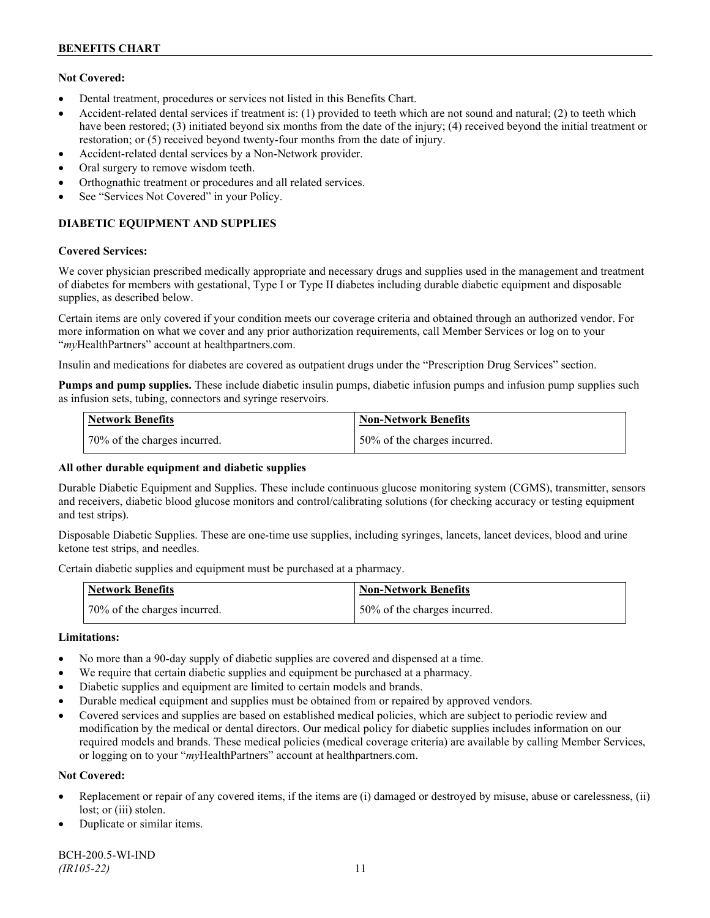### **Not Covered:**

- Dental treatment, procedures or services not listed in this Benefits Chart.
- Accident-related dental services if treatment is: (1) provided to teeth which are not sound and natural; (2) to teeth which have been restored; (3) initiated beyond six months from the date of the injury; (4) received beyond the initial treatment or restoration; or (5) received beyond twenty-four months from the date of injury.
- Accident-related dental services by a Non-Network provider.
- Oral surgery to remove wisdom teeth.
- Orthognathic treatment or procedures and all related services.
- See "Services Not Covered" in your Policy.

## **DIABETIC EQUIPMENT AND SUPPLIES**

#### **Covered Services:**

We cover physician prescribed medically appropriate and necessary drugs and supplies used in the management and treatment of diabetes for members with gestational, Type I or Type II diabetes including durable diabetic equipment and disposable supplies, as described below.

Certain items are only covered if your condition meets our coverage criteria and obtained through an authorized vendor. For more information on what we cover and any prior authorization requirements, call Member Services or log on to your "*my*HealthPartners" account at [healthpartners.com.](http://www.healthpartners.com/)

Insulin and medications for diabetes are covered as outpatient drugs under the "Prescription Drug Services" section.

**Pumps and pump supplies.** These include diabetic insulin pumps, diabetic infusion pumps and infusion pump supplies such as infusion sets, tubing, connectors and syringe reservoirs.

| <b>Network Benefits</b>      | <b>Non-Network Benefits</b>      |
|------------------------------|----------------------------------|
| 70% of the charges incurred. | $150\%$ of the charges incurred. |

### **All other durable equipment and diabetic supplies**

Durable Diabetic Equipment and Supplies. These include continuous glucose monitoring system (CGMS), transmitter, sensors and receivers, diabetic blood glucose monitors and control/calibrating solutions (for checking accuracy or testing equipment and test strips).

Disposable Diabetic Supplies. These are one-time use supplies, including syringes, lancets, lancet devices, blood and urine ketone test strips, and needles.

Certain diabetic supplies and equipment must be purchased at a pharmacy.

| <b>Network Benefits</b>      | <b>Non-Network Benefits</b>  |
|------------------------------|------------------------------|
| 70% of the charges incurred. | 50% of the charges incurred. |

### **Limitations:**

- No more than a 90-day supply of diabetic supplies are covered and dispensed at a time.
- We require that certain diabetic supplies and equipment be purchased at a pharmacy.
- Diabetic supplies and equipment are limited to certain models and brands.
- Durable medical equipment and supplies must be obtained from or repaired by approved vendors.
- Covered services and supplies are based on established medical policies, which are subject to periodic review and modification by the medical or dental directors. Our medical policy for diabetic supplies includes information on our required models and brands. These medical policies (medical coverage criteria) are available by calling Member Services, or logging on to your "*my*HealthPartners" account at healthpartners.com.

### **Not Covered:**

- Replacement or repair of any covered items, if the items are (i) damaged or destroyed by misuse, abuse or carelessness, (ii) lost; or (iii) stolen.
- Duplicate or similar items.

BCH-200.5-WI-IND *(IR105-22)* 11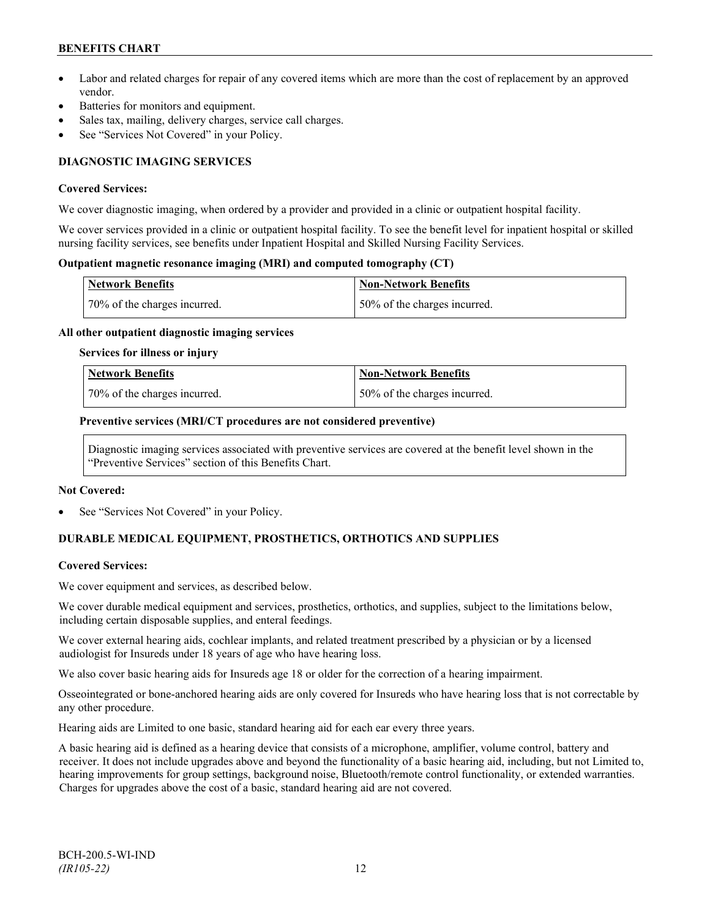## **BENEFITS CHART**

- Labor and related charges for repair of any covered items which are more than the cost of replacement by an approved vendor.
- Batteries for monitors and equipment.
- Sales tax, mailing, delivery charges, service call charges.
- See "Services Not Covered" in your Policy.

## **DIAGNOSTIC IMAGING SERVICES**

#### **Covered Services:**

We cover diagnostic imaging, when ordered by a provider and provided in a clinic or outpatient hospital facility.

We cover services provided in a clinic or outpatient hospital facility. To see the benefit level for inpatient hospital or skilled nursing facility services, see benefits under Inpatient Hospital and Skilled Nursing Facility Services.

### **Outpatient magnetic resonance imaging (MRI) and computed tomography (CT)**

| <b>Network Benefits</b>      | <b>Non-Network Benefits</b>   |
|------------------------------|-------------------------------|
| 70% of the charges incurred. | 150% of the charges incurred. |

#### **All other outpatient diagnostic imaging services**

#### **Services for illness or injury**

| <b>Network Benefits</b>      | Non-Network Benefits         |
|------------------------------|------------------------------|
| 70% of the charges incurred. | 50% of the charges incurred. |

#### **Preventive services (MRI/CT procedures are not considered preventive)**

Diagnostic imaging services associated with preventive services are covered at the benefit level shown in the "Preventive Services" section of this Benefits Chart.

#### **Not Covered:**

See "Services Not Covered" in your Policy.

## **DURABLE MEDICAL EQUIPMENT, PROSTHETICS, ORTHOTICS AND SUPPLIES**

### **Covered Services:**

We cover equipment and services, as described below.

We cover durable medical equipment and services, prosthetics, orthotics, and supplies, subject to the limitations below, including certain disposable supplies, and enteral feedings.

We cover external hearing aids, cochlear implants, and related treatment prescribed by a physician or by a licensed audiologist for Insureds under 18 years of age who have hearing loss.

We also cover basic hearing aids for Insureds age 18 or older for the correction of a hearing impairment.

Osseointegrated or bone-anchored hearing aids are only covered for Insureds who have hearing loss that is not correctable by any other procedure.

Hearing aids are Limited to one basic, standard hearing aid for each ear every three years.

A basic hearing aid is defined as a hearing device that consists of a microphone, amplifier, volume control, battery and receiver. It does not include upgrades above and beyond the functionality of a basic hearing aid, including, but not Limited to, hearing improvements for group settings, background noise, Bluetooth/remote control functionality, or extended warranties. Charges for upgrades above the cost of a basic, standard hearing aid are not covered.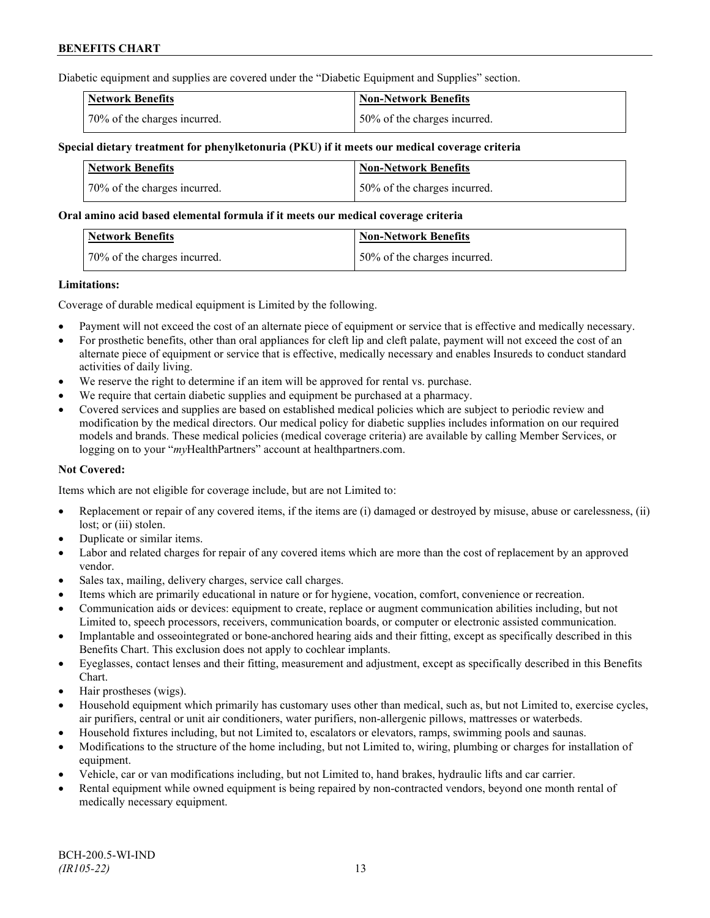Diabetic equipment and supplies are covered under the "Diabetic Equipment and Supplies" section.

| <b>Network Benefits</b>      | <b>Non-Network Benefits</b>  |
|------------------------------|------------------------------|
| 70% of the charges incurred. | 50% of the charges incurred. |

### **Special dietary treatment for phenylketonuria (PKU) if it meets our medical coverage criteria**

| <b>Network Benefits</b>      | <b>Non-Network Benefits</b>  |
|------------------------------|------------------------------|
| 70% of the charges incurred. | 50% of the charges incurred. |

#### **Oral amino acid based elemental formula if it meets our medical coverage criteria**

| <b>Network Benefits</b>      | <b>Non-Network Benefits</b>  |
|------------------------------|------------------------------|
| 70% of the charges incurred. | 50% of the charges incurred. |

#### **Limitations:**

Coverage of durable medical equipment is Limited by the following.

- Payment will not exceed the cost of an alternate piece of equipment or service that is effective and medically necessary.
- For prosthetic benefits, other than oral appliances for cleft lip and cleft palate, payment will not exceed the cost of an alternate piece of equipment or service that is effective, medically necessary and enables Insureds to conduct standard activities of daily living.
- We reserve the right to determine if an item will be approved for rental vs. purchase.
- We require that certain diabetic supplies and equipment be purchased at a pharmacy.
- Covered services and supplies are based on established medical policies which are subject to periodic review and modification by the medical directors. Our medical policy for diabetic supplies includes information on our required models and brands. These medical policies (medical coverage criteria) are available by calling Member Services, or logging on to your "*my*HealthPartners" account at [healthpartners.com.](http://www.healthpartners.com/)

### **Not Covered:**

Items which are not eligible for coverage include, but are not Limited to:

- Replacement or repair of any covered items, if the items are (i) damaged or destroyed by misuse, abuse or carelessness, (ii) lost; or (iii) stolen.
- Duplicate or similar items.
- Labor and related charges for repair of any covered items which are more than the cost of replacement by an approved vendor.
- Sales tax, mailing, delivery charges, service call charges.
- Items which are primarily educational in nature or for hygiene, vocation, comfort, convenience or recreation.
- Communication aids or devices: equipment to create, replace or augment communication abilities including, but not Limited to, speech processors, receivers, communication boards, or computer or electronic assisted communication.
- Implantable and osseointegrated or bone-anchored hearing aids and their fitting, except as specifically described in this Benefits Chart. This exclusion does not apply to cochlear implants.
- Eyeglasses, contact lenses and their fitting, measurement and adjustment, except as specifically described in this Benefits Chart.
- Hair prostheses (wigs).
- Household equipment which primarily has customary uses other than medical, such as, but not Limited to, exercise cycles, air purifiers, central or unit air conditioners, water purifiers, non-allergenic pillows, mattresses or waterbeds.
- Household fixtures including, but not Limited to, escalators or elevators, ramps, swimming pools and saunas.
- Modifications to the structure of the home including, but not Limited to, wiring, plumbing or charges for installation of equipment.
- Vehicle, car or van modifications including, but not Limited to, hand brakes, hydraulic lifts and car carrier.
- Rental equipment while owned equipment is being repaired by non-contracted vendors, beyond one month rental of medically necessary equipment.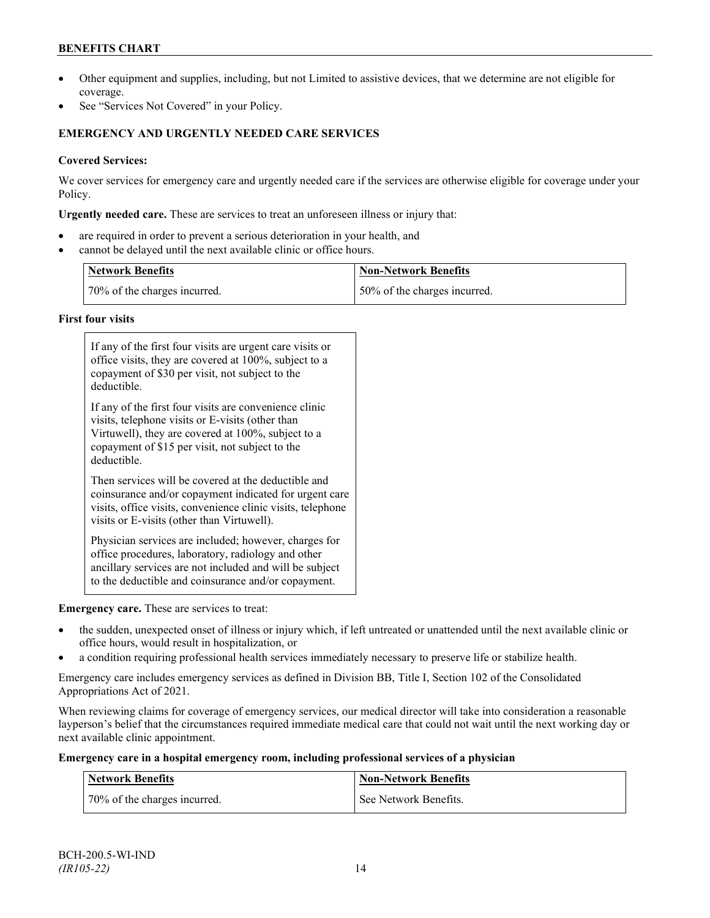## **BENEFITS CHART**

- Other equipment and supplies, including, but not Limited to assistive devices, that we determine are not eligible for coverage.
- See "Services Not Covered" in your Policy.

## **EMERGENCY AND URGENTLY NEEDED CARE SERVICES**

## **Covered Services:**

We cover services for emergency care and urgently needed care if the services are otherwise eligible for coverage under your Policy.

**Urgently needed care.** These are services to treat an unforeseen illness or injury that:

- are required in order to prevent a serious deterioration in your health, and
- cannot be delayed until the next available clinic or office hours.

| <b>Network Benefits</b>      | <b>Non-Network Benefits</b>  |
|------------------------------|------------------------------|
| 70% of the charges incurred. | 50% of the charges incurred. |

### **First four visits**

| If any of the first four visits are urgent care visits or<br>office visits, they are covered at 100%, subject to a<br>copayment of \$30 per visit, not subject to the<br>deductible.                                               |
|------------------------------------------------------------------------------------------------------------------------------------------------------------------------------------------------------------------------------------|
| If any of the first four visits are convenience clinic<br>visits, telephone visits or E-visits (other than<br>Virtuwell), they are covered at 100%, subject to a<br>copayment of \$15 per visit, not subject to the<br>deductible. |
| Then services will be covered at the deductible and<br>coinsurance and/or copayment indicated for urgent care<br>visits, office visits, convenience clinic visits, telephone<br>visits or E-visits (other than Virtuwell).         |
| Physician services are included; however, charges for<br>office procedures, laboratory, radiology and other<br>ancillary services are not included and will be subject<br>to the deductible and coinsurance and/or copayment.      |

### **Emergency care.** These are services to treat:

- the sudden, unexpected onset of illness or injury which, if left untreated or unattended until the next available clinic or office hours, would result in hospitalization, or
- a condition requiring professional health services immediately necessary to preserve life or stabilize health.

Emergency care includes emergency services as defined in Division BB, Title I, Section 102 of the Consolidated Appropriations Act of 2021.

When reviewing claims for coverage of emergency services, our medical director will take into consideration a reasonable layperson's belief that the circumstances required immediate medical care that could not wait until the next working day or next available clinic appointment.

### **Emergency care in a hospital emergency room, including professional services of a physician**

| Network Benefits             | <b>Non-Network Benefits</b> |
|------------------------------|-----------------------------|
| 70% of the charges incurred. | See Network Benefits.       |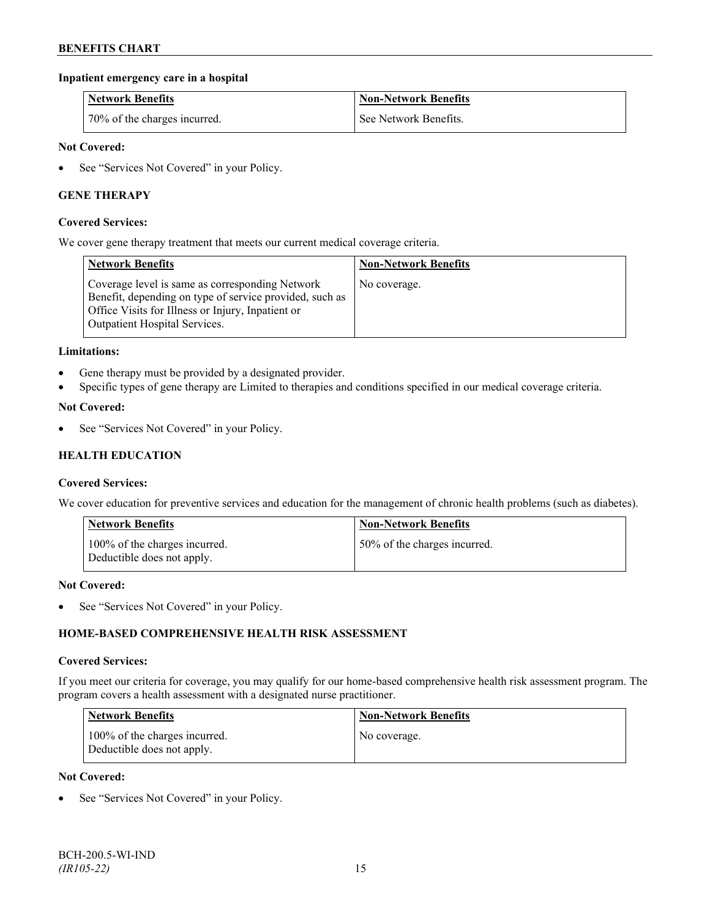### **Inpatient emergency care in a hospital**

| <b>Network Benefits</b>      | <b>Non-Network Benefits</b> |
|------------------------------|-----------------------------|
| 70% of the charges incurred. | See Network Benefits.       |

### **Not Covered:**

• See "Services Not Covered" in your Policy.

### **GENE THERAPY**

#### **Covered Services:**

We cover gene therapy treatment that meets our current medical coverage criteria.

| <b>Network Benefits</b>                                                                                                                                                                                 | <b>Non-Network Benefits</b> |
|---------------------------------------------------------------------------------------------------------------------------------------------------------------------------------------------------------|-----------------------------|
| Coverage level is same as corresponding Network<br>Benefit, depending on type of service provided, such as<br>Office Visits for Illness or Injury, Inpatient or<br><b>Outpatient Hospital Services.</b> | No coverage.                |

#### **Limitations:**

- Gene therapy must be provided by a designated provider.
- Specific types of gene therapy are Limited to therapies and conditions specified in our medical coverage criteria.

#### **Not Covered:**

See "Services Not Covered" in your Policy.

### **HEALTH EDUCATION**

#### **Covered Services:**

We cover education for preventive services and education for the management of chronic health problems (such as diabetes).

| <b>Network Benefits</b>                                     | <b>Non-Network Benefits</b>  |
|-------------------------------------------------------------|------------------------------|
| 100% of the charges incurred.<br>Deductible does not apply. | 50% of the charges incurred. |

#### **Not Covered:**

• See "Services Not Covered" in your Policy.

### **HOME-BASED COMPREHENSIVE HEALTH RISK ASSESSMENT**

#### **Covered Services:**

If you meet our criteria for coverage, you may qualify for our home-based comprehensive health risk assessment program. The program covers a health assessment with a designated nurse practitioner.

| <b>Network Benefits</b>                                     | <b>Non-Network Benefits</b> |
|-------------------------------------------------------------|-----------------------------|
| 100% of the charges incurred.<br>Deductible does not apply. | No coverage.                |

### **Not Covered:**

See "Services Not Covered" in your Policy.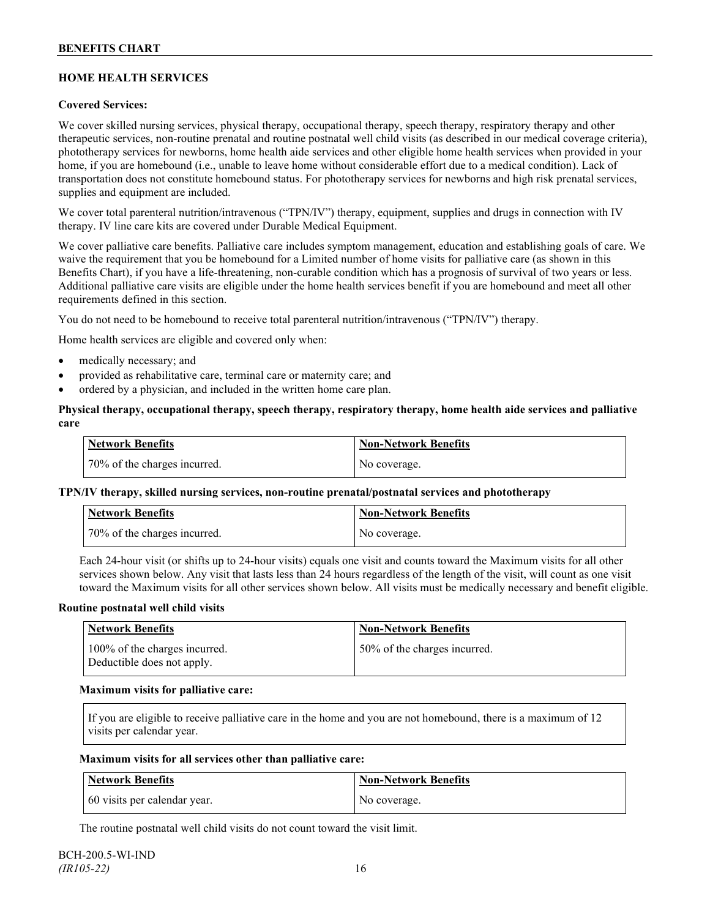## **HOME HEALTH SERVICES**

### **Covered Services:**

We cover skilled nursing services, physical therapy, occupational therapy, speech therapy, respiratory therapy and other therapeutic services, non-routine prenatal and routine postnatal well child visits (as described in our medical coverage criteria), phototherapy services for newborns, home health aide services and other eligible home health services when provided in your home, if you are homebound (i.e., unable to leave home without considerable effort due to a medical condition). Lack of transportation does not constitute homebound status. For phototherapy services for newborns and high risk prenatal services, supplies and equipment are included.

We cover total parenteral nutrition/intravenous ("TPN/IV") therapy, equipment, supplies and drugs in connection with IV therapy. IV line care kits are covered under Durable Medical Equipment.

We cover palliative care benefits. Palliative care includes symptom management, education and establishing goals of care. We waive the requirement that you be homebound for a Limited number of home visits for palliative care (as shown in this Benefits Chart), if you have a life-threatening, non-curable condition which has a prognosis of survival of two years or less. Additional palliative care visits are eligible under the home health services benefit if you are homebound and meet all other requirements defined in this section.

You do not need to be homebound to receive total parenteral nutrition/intravenous ("TPN/IV") therapy.

Home health services are eligible and covered only when:

- medically necessary; and
- provided as rehabilitative care, terminal care or maternity care; and
- ordered by a physician, and included in the written home care plan.

### **Physical therapy, occupational therapy, speech therapy, respiratory therapy, home health aide services and palliative care**

| <b>Network Benefits</b>      | <b>Non-Network Benefits</b> |
|------------------------------|-----------------------------|
| 70% of the charges incurred. | No coverage.                |

### **TPN/IV therapy, skilled nursing services, non-routine prenatal/postnatal services and phototherapy**

| Network Benefits             | <b>Non-Network Benefits</b> |
|------------------------------|-----------------------------|
| 70% of the charges incurred. | No coverage.                |

Each 24-hour visit (or shifts up to 24-hour visits) equals one visit and counts toward the Maximum visits for all other services shown below. Any visit that lasts less than 24 hours regardless of the length of the visit, will count as one visit toward the Maximum visits for all other services shown below. All visits must be medically necessary and benefit eligible.

#### **Routine postnatal well child visits**

| Network Benefits                                            | <b>Non-Network Benefits</b>  |
|-------------------------------------------------------------|------------------------------|
| 100% of the charges incurred.<br>Deductible does not apply. | 50% of the charges incurred. |

#### **Maximum visits for palliative care:**

If you are eligible to receive palliative care in the home and you are not homebound, there is a maximum of 12 visits per calendar year.

#### **Maximum visits for all services other than palliative care:**

| Network Benefits             | Non-Network Benefits |
|------------------------------|----------------------|
| 60 visits per calendar year. | No coverage.         |

The routine postnatal well child visits do not count toward the visit limit.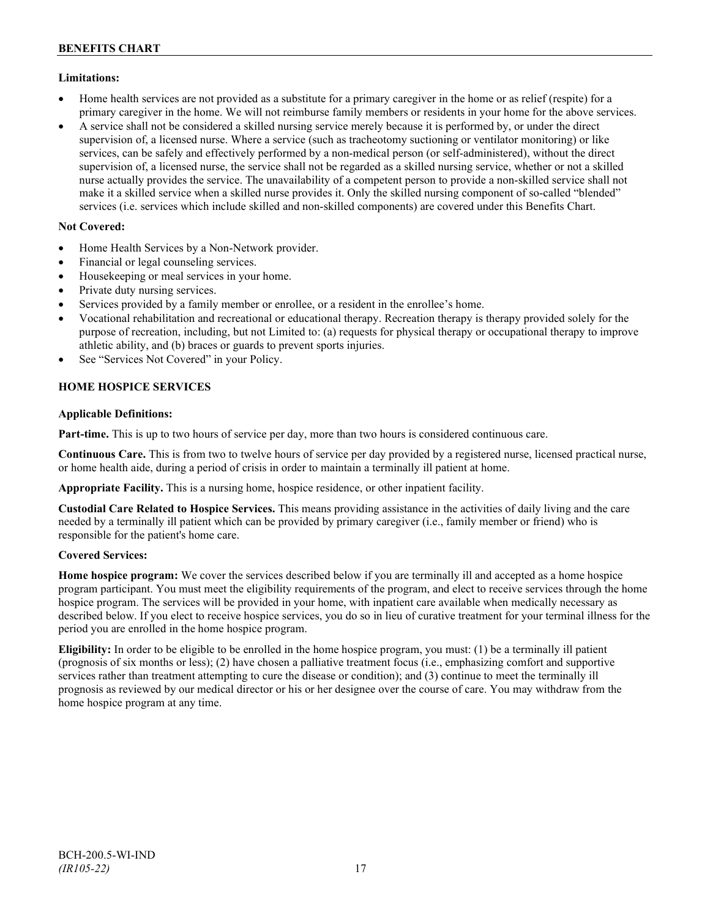### **Limitations:**

- Home health services are not provided as a substitute for a primary caregiver in the home or as relief (respite) for a primary caregiver in the home. We will not reimburse family members or residents in your home for the above services.
- A service shall not be considered a skilled nursing service merely because it is performed by, or under the direct supervision of, a licensed nurse. Where a service (such as tracheotomy suctioning or ventilator monitoring) or like services, can be safely and effectively performed by a non-medical person (or self-administered), without the direct supervision of, a licensed nurse, the service shall not be regarded as a skilled nursing service, whether or not a skilled nurse actually provides the service. The unavailability of a competent person to provide a non-skilled service shall not make it a skilled service when a skilled nurse provides it. Only the skilled nursing component of so-called "blended" services (i.e. services which include skilled and non-skilled components) are covered under this Benefits Chart.

## **Not Covered:**

- Home Health Services by a Non-Network provider.
- Financial or legal counseling services.
- Housekeeping or meal services in your home.
- Private duty nursing services.
- Services provided by a family member or enrollee, or a resident in the enrollee's home.
- Vocational rehabilitation and recreational or educational therapy. Recreation therapy is therapy provided solely for the purpose of recreation, including, but not Limited to: (a) requests for physical therapy or occupational therapy to improve athletic ability, and (b) braces or guards to prevent sports injuries.
- See "Services Not Covered" in your Policy.

## **HOME HOSPICE SERVICES**

### **Applicable Definitions:**

**Part-time.** This is up to two hours of service per day, more than two hours is considered continuous care.

**Continuous Care.** This is from two to twelve hours of service per day provided by a registered nurse, licensed practical nurse, or home health aide, during a period of crisis in order to maintain a terminally ill patient at home.

**Appropriate Facility.** This is a nursing home, hospice residence, or other inpatient facility.

**Custodial Care Related to Hospice Services.** This means providing assistance in the activities of daily living and the care needed by a terminally ill patient which can be provided by primary caregiver (i.e., family member or friend) who is responsible for the patient's home care.

### **Covered Services:**

**Home hospice program:** We cover the services described below if you are terminally ill and accepted as a home hospice program participant. You must meet the eligibility requirements of the program, and elect to receive services through the home hospice program. The services will be provided in your home, with inpatient care available when medically necessary as described below. If you elect to receive hospice services, you do so in lieu of curative treatment for your terminal illness for the period you are enrolled in the home hospice program.

**Eligibility:** In order to be eligible to be enrolled in the home hospice program, you must: (1) be a terminally ill patient (prognosis of six months or less); (2) have chosen a palliative treatment focus (i.e., emphasizing comfort and supportive services rather than treatment attempting to cure the disease or condition); and (3) continue to meet the terminally ill prognosis as reviewed by our medical director or his or her designee over the course of care. You may withdraw from the home hospice program at any time.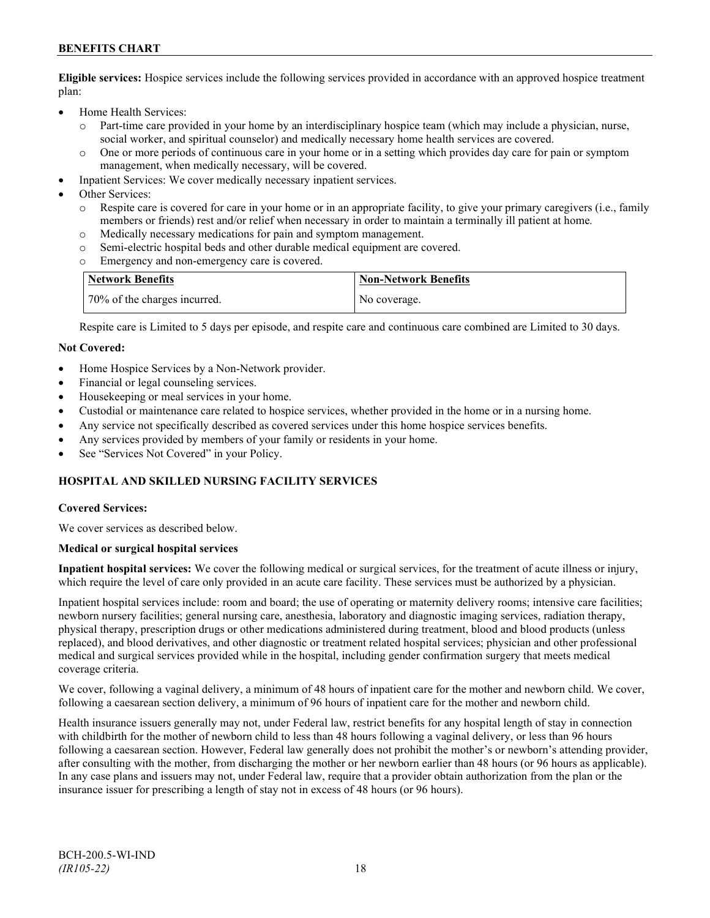## **BENEFITS CHART**

**Eligible services:** Hospice services include the following services provided in accordance with an approved hospice treatment plan:

- Home Health Services:
	- o Part-time care provided in your home by an interdisciplinary hospice team (which may include a physician, nurse, social worker, and spiritual counselor) and medically necessary home health services are covered.
	- o One or more periods of continuous care in your home or in a setting which provides day care for pain or symptom management, when medically necessary, will be covered.
- Inpatient Services: We cover medically necessary inpatient services.

Other Services:

- Respite care is covered for care in your home or in an appropriate facility, to give your primary caregivers (i.e., family members or friends) rest and/or relief when necessary in order to maintain a terminally ill patient at home*.*
- o Medically necessary medications for pain and symptom management.
- o Semi-electric hospital beds and other durable medical equipment are covered.
- Emergency and non-emergency care is covered.

| Network Benefits             | <b>Non-Network Benefits</b> |
|------------------------------|-----------------------------|
| 70% of the charges incurred. | No coverage.                |

Respite care is Limited to 5 days per episode, and respite care and continuous care combined are Limited to 30 days.

#### **Not Covered:**

- Home Hospice Services by a Non-Network provider.
- Financial or legal counseling services.
- Housekeeping or meal services in your home.
- Custodial or maintenance care related to hospice services, whether provided in the home or in a nursing home.
- Any service not specifically described as covered services under this home hospice services benefits.
- Any services provided by members of your family or residents in your home.
- See "Services Not Covered" in your Policy.

## **HOSPITAL AND SKILLED NURSING FACILITY SERVICES**

#### **Covered Services:**

We cover services as described below.

#### **Medical or surgical hospital services**

**Inpatient hospital services:** We cover the following medical or surgical services, for the treatment of acute illness or injury, which require the level of care only provided in an acute care facility. These services must be authorized by a physician.

Inpatient hospital services include: room and board; the use of operating or maternity delivery rooms; intensive care facilities; newborn nursery facilities; general nursing care, anesthesia, laboratory and diagnostic imaging services, radiation therapy, physical therapy, prescription drugs or other medications administered during treatment, blood and blood products (unless replaced), and blood derivatives, and other diagnostic or treatment related hospital services; physician and other professional medical and surgical services provided while in the hospital, including gender confirmation surgery that meets medical coverage criteria.

We cover, following a vaginal delivery, a minimum of 48 hours of inpatient care for the mother and newborn child. We cover, following a caesarean section delivery, a minimum of 96 hours of inpatient care for the mother and newborn child.

Health insurance issuers generally may not, under Federal law, restrict benefits for any hospital length of stay in connection with childbirth for the mother of newborn child to less than 48 hours following a vaginal delivery, or less than 96 hours following a caesarean section. However, Federal law generally does not prohibit the mother's or newborn's attending provider, after consulting with the mother, from discharging the mother or her newborn earlier than 48 hours (or 96 hours as applicable). In any case plans and issuers may not, under Federal law, require that a provider obtain authorization from the plan or the insurance issuer for prescribing a length of stay not in excess of 48 hours (or 96 hours).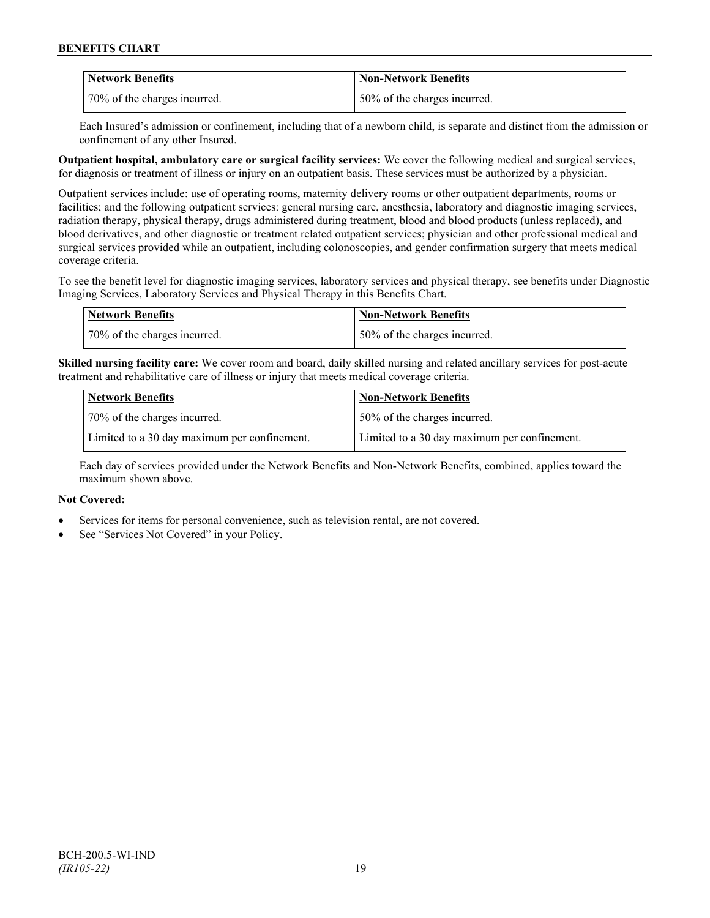| Network Benefits             | <b>Non-Network Benefits</b>  |
|------------------------------|------------------------------|
| 70% of the charges incurred. | 50% of the charges incurred. |

Each Insured's admission or confinement, including that of a newborn child, is separate and distinct from the admission or confinement of any other Insured.

**Outpatient hospital, ambulatory care or surgical facility services:** We cover the following medical and surgical services, for diagnosis or treatment of illness or injury on an outpatient basis. These services must be authorized by a physician.

Outpatient services include: use of operating rooms, maternity delivery rooms or other outpatient departments, rooms or facilities; and the following outpatient services: general nursing care, anesthesia, laboratory and diagnostic imaging services, radiation therapy, physical therapy, drugs administered during treatment, blood and blood products (unless replaced), and blood derivatives, and other diagnostic or treatment related outpatient services; physician and other professional medical and surgical services provided while an outpatient, including colonoscopies, and gender confirmation surgery that meets medical coverage criteria.

To see the benefit level for diagnostic imaging services, laboratory services and physical therapy, see benefits under Diagnostic Imaging Services, Laboratory Services and Physical Therapy in this Benefits Chart.

| <b>Network Benefits</b>      | Non-Network Benefits         |
|------------------------------|------------------------------|
| 70% of the charges incurred. | 50% of the charges incurred. |

**Skilled nursing facility care:** We cover room and board, daily skilled nursing and related ancillary services for post-acute treatment and rehabilitative care of illness or injury that meets medical coverage criteria.

| Network Benefits                             | <b>Non-Network Benefits</b>                  |
|----------------------------------------------|----------------------------------------------|
| 70% of the charges incurred.                 | 50% of the charges incurred.                 |
| Limited to a 30 day maximum per confinement. | Limited to a 30 day maximum per confinement. |

Each day of services provided under the Network Benefits and Non-Network Benefits, combined, applies toward the maximum shown above.

### **Not Covered:**

- Services for items for personal convenience, such as television rental, are not covered.
- See "Services Not Covered" in your Policy.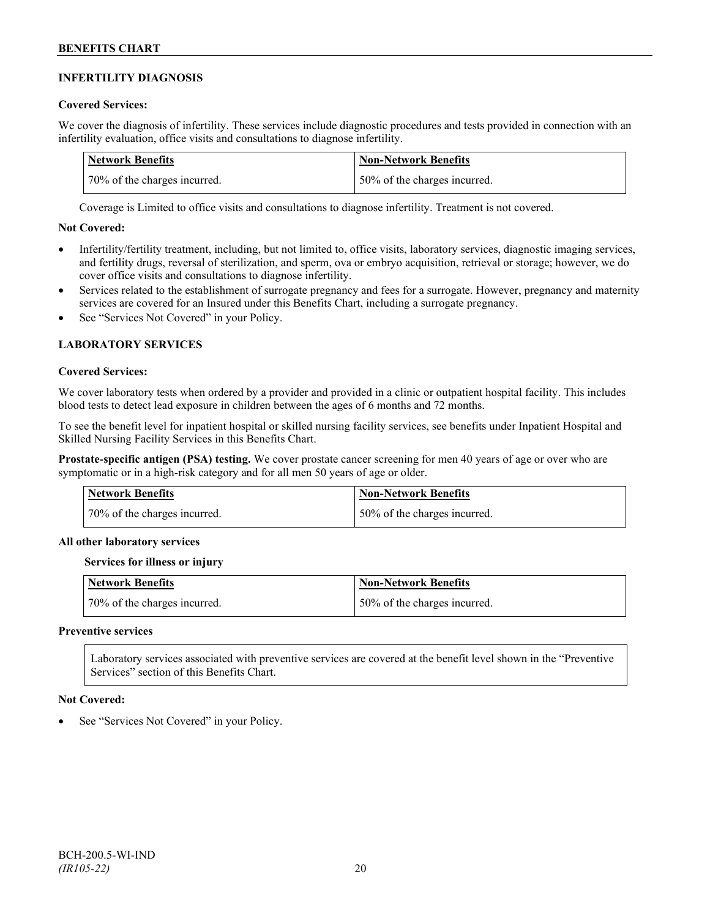### **INFERTILITY DIAGNOSIS**

### **Covered Services:**

We cover the diagnosis of infertility. These services include diagnostic procedures and tests provided in connection with an infertility evaluation, office visits and consultations to diagnose infertility.

| Network Benefits             | <b>Non-Network Benefits</b>  |
|------------------------------|------------------------------|
| 70% of the charges incurred. | 50% of the charges incurred. |

Coverage is Limited to office visits and consultations to diagnose infertility. Treatment is not covered.

### **Not Covered:**

- Infertility/fertility treatment, including, but not limited to, office visits, laboratory services, diagnostic imaging services, and fertility drugs, reversal of sterilization, and sperm, ova or embryo acquisition, retrieval or storage; however, we do cover office visits and consultations to diagnose infertility.
- Services related to the establishment of surrogate pregnancy and fees for a surrogate. However, pregnancy and maternity services are covered for an Insured under this Benefits Chart, including a surrogate pregnancy.
- See "Services Not Covered" in your Policy.

## **LABORATORY SERVICES**

#### **Covered Services:**

We cover laboratory tests when ordered by a provider and provided in a clinic or outpatient hospital facility. This includes blood tests to detect lead exposure in children between the ages of 6 months and 72 months.

To see the benefit level for inpatient hospital or skilled nursing facility services, see benefits under Inpatient Hospital and Skilled Nursing Facility Services in this Benefits Chart.

**Prostate-specific antigen (PSA) testing.** We cover prostate cancer screening for men 40 years of age or over who are symptomatic or in a high-risk category and for all men 50 years of age or older.

| Network Benefits             | Non-Network Benefits         |
|------------------------------|------------------------------|
| 70% of the charges incurred. | 50% of the charges incurred. |

#### **All other laboratory services**

#### **Services for illness or injury**

| <b>Network Benefits</b>      | <b>Non-Network Benefits</b>  |
|------------------------------|------------------------------|
| 70% of the charges incurred. | 50% of the charges incurred. |

#### **Preventive services**

Laboratory services associated with preventive services are covered at the benefit level shown in the "Preventive Services" section of this Benefits Chart.

#### **Not Covered:**

See "Services Not Covered" in your Policy.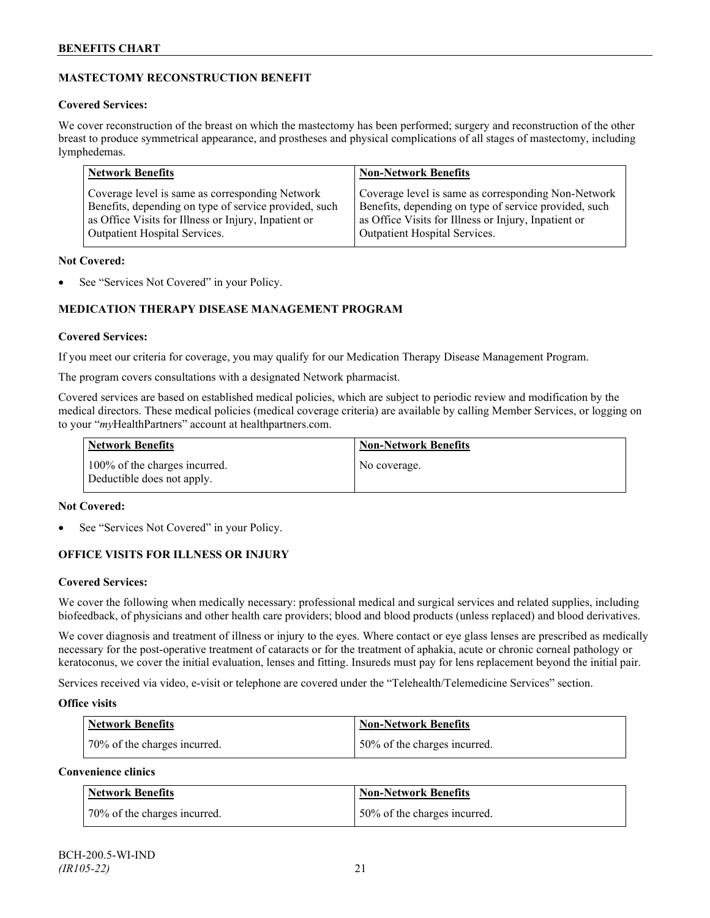## **MASTECTOMY RECONSTRUCTION BENEFIT**

### **Covered Services:**

We cover reconstruction of the breast on which the mastectomy has been performed; surgery and reconstruction of the other breast to produce symmetrical appearance, and prostheses and physical complications of all stages of mastectomy, including lymphedemas.

| <b>Network Benefits</b>                               | <b>Non-Network Benefits</b>                           |
|-------------------------------------------------------|-------------------------------------------------------|
| Coverage level is same as corresponding Network       | Coverage level is same as corresponding Non-Network   |
| Benefits, depending on type of service provided, such | Benefits, depending on type of service provided, such |
| as Office Visits for Illness or Injury, Inpatient or  | as Office Visits for Illness or Injury, Inpatient or  |
| Outpatient Hospital Services.                         | Outpatient Hospital Services.                         |

### **Not Covered:**

See "Services Not Covered" in your Policy.

## **MEDICATION THERAPY DISEASE MANAGEMENT PROGRAM**

### **Covered Services:**

If you meet our criteria for coverage, you may qualify for our Medication Therapy Disease Management Program.

The program covers consultations with a designated Network pharmacist.

Covered services are based on established medical policies, which are subject to periodic review and modification by the medical directors. These medical policies (medical coverage criteria) are available by calling Member Services, or logging on to your "*my*HealthPartners" account at [healthpartners.com.](http://www.healthpartners.com/)

| <b>Network Benefits</b>                                     | <b>Non-Network Benefits</b> |
|-------------------------------------------------------------|-----------------------------|
| 100% of the charges incurred.<br>Deductible does not apply. | No coverage.                |

### **Not Covered:**

See "Services Not Covered" in your Policy.

## **OFFICE VISITS FOR ILLNESS OR INJURY**

### **Covered Services:**

We cover the following when medically necessary: professional medical and surgical services and related supplies, including biofeedback, of physicians and other health care providers; blood and blood products (unless replaced) and blood derivatives.

We cover diagnosis and treatment of illness or injury to the eyes. Where contact or eye glass lenses are prescribed as medically necessary for the post-operative treatment of cataracts or for the treatment of aphakia, acute or chronic corneal pathology or keratoconus, we cover the initial evaluation, lenses and fitting. Insureds must pay for lens replacement beyond the initial pair.

Services received via video, e-visit or telephone are covered under the "Telehealth/Telemedicine Services" section.

### **Office visits**

| <b>Network Benefits</b>      | <b>Non-Network Benefits</b>  |
|------------------------------|------------------------------|
| 70% of the charges incurred. | 50% of the charges incurred. |

## **Convenience clinics**

| <b>Network Benefits</b>      | <b>Non-Network Benefits</b>  |
|------------------------------|------------------------------|
| 70% of the charges incurred. | 50% of the charges incurred. |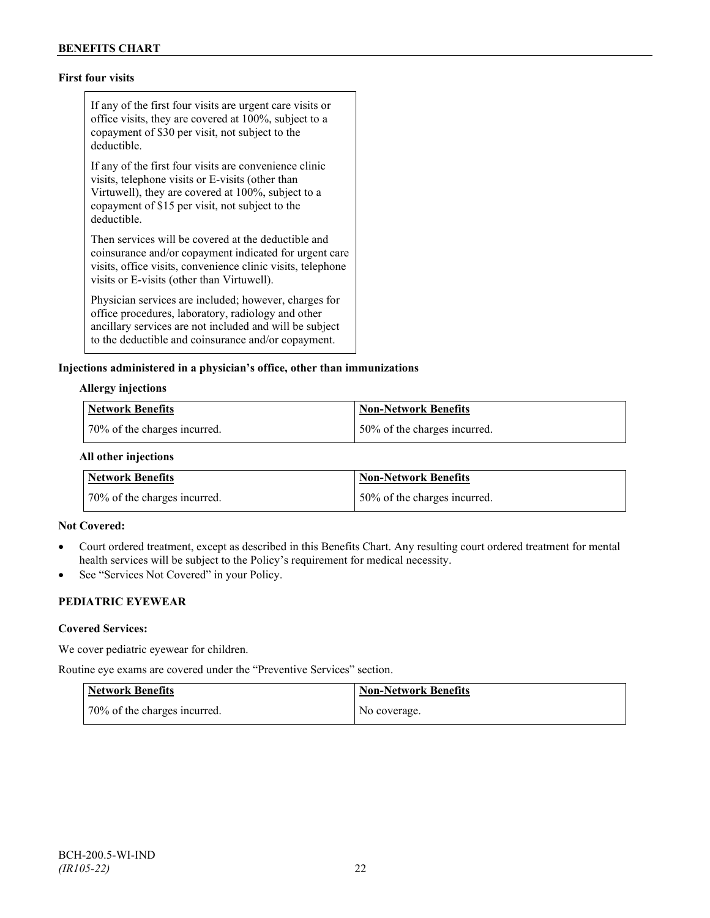## **First four visits**

If any of the first four visits are urgent care visits or office visits, they are covered at 100%, subject to a copayment of \$30 per visit, not subject to the deductible.

If any of the first four visits are convenience clinic visits, telephone visits or E-visits (other than Virtuwell), they are covered at 100%, subject to a copayment of \$15 per visit, not subject to the deductible.

Then services will be covered at the deductible and coinsurance and/or copayment indicated for urgent care visits, office visits, convenience clinic visits, telephone visits or E-visits (other than Virtuwell).

Physician services are included; however, charges for office procedures, laboratory, radiology and other ancillary services are not included and will be subject to the deductible and coinsurance and/or copayment.

#### **Injections administered in a physician's office, other than immunizations**

#### **Allergy injections**

| Network Benefits             | Non-Network Benefits         |
|------------------------------|------------------------------|
| 70% of the charges incurred. | 50% of the charges incurred. |

#### **All other injections**

| <b>Network Benefits</b>      | Non-Network Benefits         |
|------------------------------|------------------------------|
| 70% of the charges incurred. | 50% of the charges incurred. |

#### **Not Covered:**

- Court ordered treatment, except as described in this Benefits Chart. Any resulting court ordered treatment for mental health services will be subject to the Policy's requirement for medical necessity.
- See "Services Not Covered" in your Policy.

## **PEDIATRIC EYEWEAR**

#### **Covered Services:**

We cover pediatric eyewear for children.

Routine eye exams are covered under the "Preventive Services" section.

| <b>Network Benefits</b>      | <b>Non-Network Benefits</b> |
|------------------------------|-----------------------------|
| 70% of the charges incurred. | No coverage.                |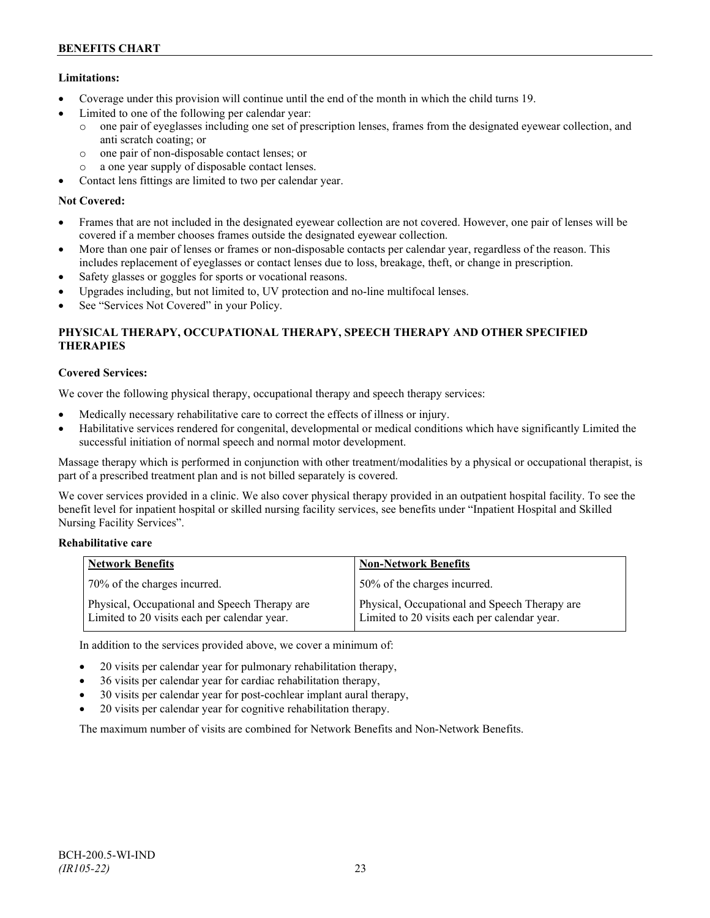## **Limitations:**

- Coverage under this provision will continue until the end of the month in which the child turns 19.
- Limited to one of the following per calendar year:
	- o one pair of eyeglasses including one set of prescription lenses, frames from the designated eyewear collection, and anti scratch coating; or
	- o one pair of non-disposable contact lenses; or
	- o a one year supply of disposable contact lenses.
- Contact lens fittings are limited to two per calendar year.

## **Not Covered:**

- Frames that are not included in the designated eyewear collection are not covered. However, one pair of lenses will be covered if a member chooses frames outside the designated eyewear collection.
- More than one pair of lenses or frames or non-disposable contacts per calendar year, regardless of the reason. This includes replacement of eyeglasses or contact lenses due to loss, breakage, theft, or change in prescription.
- Safety glasses or goggles for sports or vocational reasons.
- Upgrades including, but not limited to, UV protection and no-line multifocal lenses.
- See "Services Not Covered" in your Policy.

## **PHYSICAL THERAPY, OCCUPATIONAL THERAPY, SPEECH THERAPY AND OTHER SPECIFIED THERAPIES**

## **Covered Services:**

We cover the following physical therapy, occupational therapy and speech therapy services:

- Medically necessary rehabilitative care to correct the effects of illness or injury.
- Habilitative services rendered for congenital, developmental or medical conditions which have significantly Limited the successful initiation of normal speech and normal motor development.

Massage therapy which is performed in conjunction with other treatment/modalities by a physical or occupational therapist, is part of a prescribed treatment plan and is not billed separately is covered.

We cover services provided in a clinic. We also cover physical therapy provided in an outpatient hospital facility. To see the benefit level for inpatient hospital or skilled nursing facility services, see benefits under "Inpatient Hospital and Skilled Nursing Facility Services".

### **Rehabilitative care**

| <b>Network Benefits</b>                                                                       | <b>Non-Network Benefits</b>                                                                   |
|-----------------------------------------------------------------------------------------------|-----------------------------------------------------------------------------------------------|
| 70% of the charges incurred.                                                                  | 50% of the charges incurred.                                                                  |
| Physical, Occupational and Speech Therapy are<br>Limited to 20 visits each per calendar year. | Physical, Occupational and Speech Therapy are<br>Limited to 20 visits each per calendar year. |

In addition to the services provided above, we cover a minimum of:

- 20 visits per calendar year for pulmonary rehabilitation therapy,
- 36 visits per calendar year for cardiac rehabilitation therapy,
- 30 visits per calendar year for post-cochlear implant aural therapy,
- 20 visits per calendar year for cognitive rehabilitation therapy.

The maximum number of visits are combined for Network Benefits and Non-Network Benefits.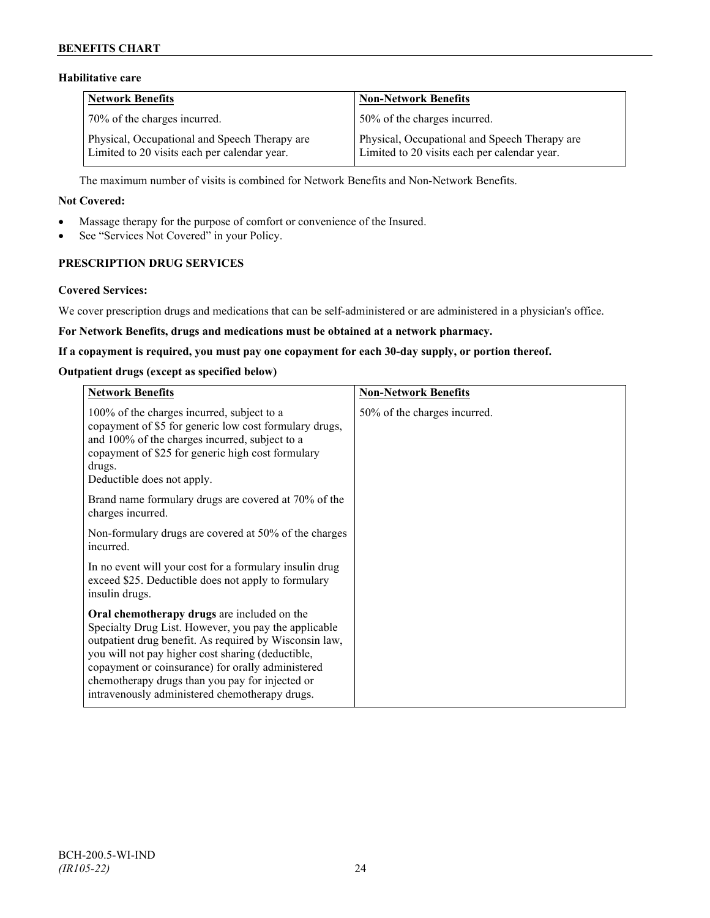## **BENEFITS CHART**

## **Habilitative care**

| <b>Network Benefits</b>                                                                       | <b>Non-Network Benefits</b>                                                                   |
|-----------------------------------------------------------------------------------------------|-----------------------------------------------------------------------------------------------|
| 70% of the charges incurred.                                                                  | 50% of the charges incurred.                                                                  |
| Physical, Occupational and Speech Therapy are<br>Limited to 20 visits each per calendar year. | Physical, Occupational and Speech Therapy are<br>Limited to 20 visits each per calendar year. |

The maximum number of visits is combined for Network Benefits and Non-Network Benefits.

#### **Not Covered:**

- Massage therapy for the purpose of comfort or convenience of the Insured.
- See "Services Not Covered" in your Policy.

## **PRESCRIPTION DRUG SERVICES**

#### **Covered Services:**

We cover prescription drugs and medications that can be self-administered or are administered in a physician's office.

#### **For Network Benefits, drugs and medications must be obtained at a network pharmacy.**

#### **If a copayment is required, you must pay one copayment for each 30-day supply, or portion thereof.**

### **Outpatient drugs (except as specified below)**

| <b>Network Benefits</b>                                                                                                                                                                                                                                                                                                                                                      | <b>Non-Network Benefits</b>  |
|------------------------------------------------------------------------------------------------------------------------------------------------------------------------------------------------------------------------------------------------------------------------------------------------------------------------------------------------------------------------------|------------------------------|
| 100% of the charges incurred, subject to a<br>copayment of \$5 for generic low cost formulary drugs,<br>and 100% of the charges incurred, subject to a<br>copayment of \$25 for generic high cost formulary<br>drugs.<br>Deductible does not apply.                                                                                                                          | 50% of the charges incurred. |
| Brand name formulary drugs are covered at 70% of the<br>charges incurred.                                                                                                                                                                                                                                                                                                    |                              |
| Non-formulary drugs are covered at 50% of the charges<br>incurred.                                                                                                                                                                                                                                                                                                           |                              |
| In no event will your cost for a formulary insulin drug<br>exceed \$25. Deductible does not apply to formulary<br>insulin drugs.                                                                                                                                                                                                                                             |                              |
| Oral chemotherapy drugs are included on the<br>Specialty Drug List. However, you pay the applicable<br>outpatient drug benefit. As required by Wisconsin law,<br>you will not pay higher cost sharing (deductible,<br>copayment or coinsurance) for orally administered<br>chemotherapy drugs than you pay for injected or<br>intravenously administered chemotherapy drugs. |                              |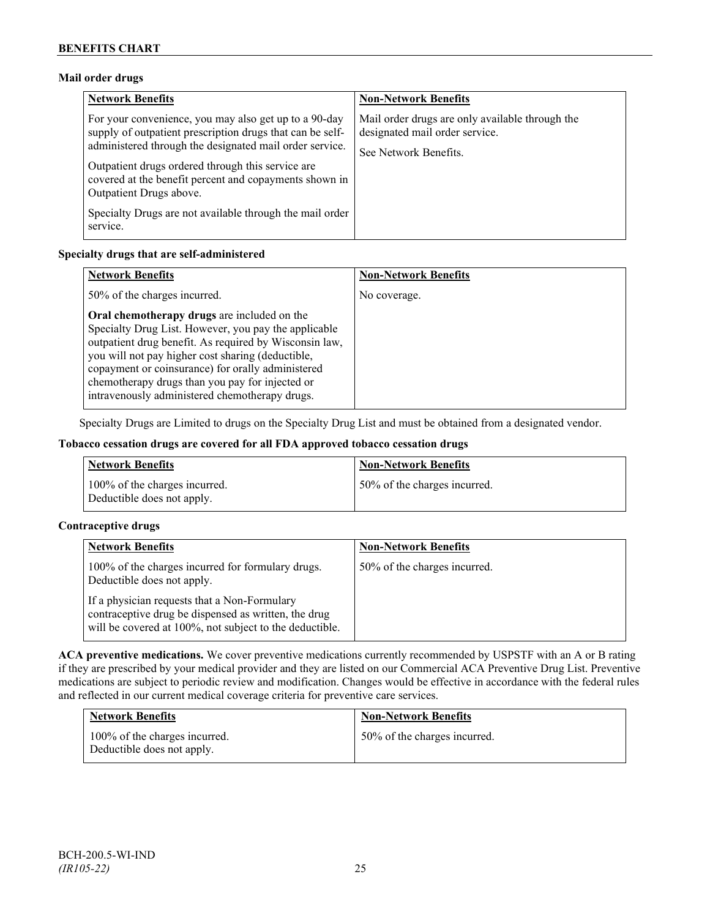### **Mail order drugs**

| <b>Network Benefits</b>                                                                                                                                                                                                                                                                                                 | <b>Non-Network Benefits</b>                                                                                |
|-------------------------------------------------------------------------------------------------------------------------------------------------------------------------------------------------------------------------------------------------------------------------------------------------------------------------|------------------------------------------------------------------------------------------------------------|
| For your convenience, you may also get up to a 90-day<br>supply of outpatient prescription drugs that can be self-<br>administered through the designated mail order service.<br>Outpatient drugs ordered through this service are<br>covered at the benefit percent and copayments shown in<br>Outpatient Drugs above. | Mail order drugs are only available through the<br>designated mail order service.<br>See Network Benefits. |
| Specialty Drugs are not available through the mail order<br>service.                                                                                                                                                                                                                                                    |                                                                                                            |

### **Specialty drugs that are self-administered**

| <b>Network Benefits</b>                                                                                                                                                                                                                                                                                                                                                      | <b>Non-Network Benefits</b> |
|------------------------------------------------------------------------------------------------------------------------------------------------------------------------------------------------------------------------------------------------------------------------------------------------------------------------------------------------------------------------------|-----------------------------|
| 50% of the charges incurred.                                                                                                                                                                                                                                                                                                                                                 | No coverage.                |
| Oral chemotherapy drugs are included on the<br>Specialty Drug List. However, you pay the applicable<br>outpatient drug benefit. As required by Wisconsin law,<br>you will not pay higher cost sharing (deductible,<br>copayment or coinsurance) for orally administered<br>chemotherapy drugs than you pay for injected or<br>intravenously administered chemotherapy drugs. |                             |

Specialty Drugs are Limited to drugs on the Specialty Drug List and must be obtained from a designated vendor.

### **Tobacco cessation drugs are covered for all FDA approved tobacco cessation drugs**

| <b>Network Benefits</b>                                     | <b>Non-Network Benefits</b>  |
|-------------------------------------------------------------|------------------------------|
| 100% of the charges incurred.<br>Deductible does not apply. | 50% of the charges incurred. |

### **Contraceptive drugs**

| <b>Network Benefits</b>                                                                                                                                         | <b>Non-Network Benefits</b>  |
|-----------------------------------------------------------------------------------------------------------------------------------------------------------------|------------------------------|
| 100% of the charges incurred for formulary drugs.<br>Deductible does not apply.                                                                                 | 50% of the charges incurred. |
| If a physician requests that a Non-Formulary<br>contraceptive drug be dispensed as written, the drug<br>will be covered at 100%, not subject to the deductible. |                              |

**ACA preventive medications.** We cover preventive medications currently recommended by USPSTF with an A or B rating if they are prescribed by your medical provider and they are listed on our Commercial ACA Preventive Drug List. Preventive medications are subject to periodic review and modification. Changes would be effective in accordance with the federal rules and reflected in our current medical coverage criteria for preventive care services.

| <b>Network Benefits</b>                                     | <b>Non-Network Benefits</b>  |
|-------------------------------------------------------------|------------------------------|
| 100% of the charges incurred.<br>Deductible does not apply. | 50% of the charges incurred. |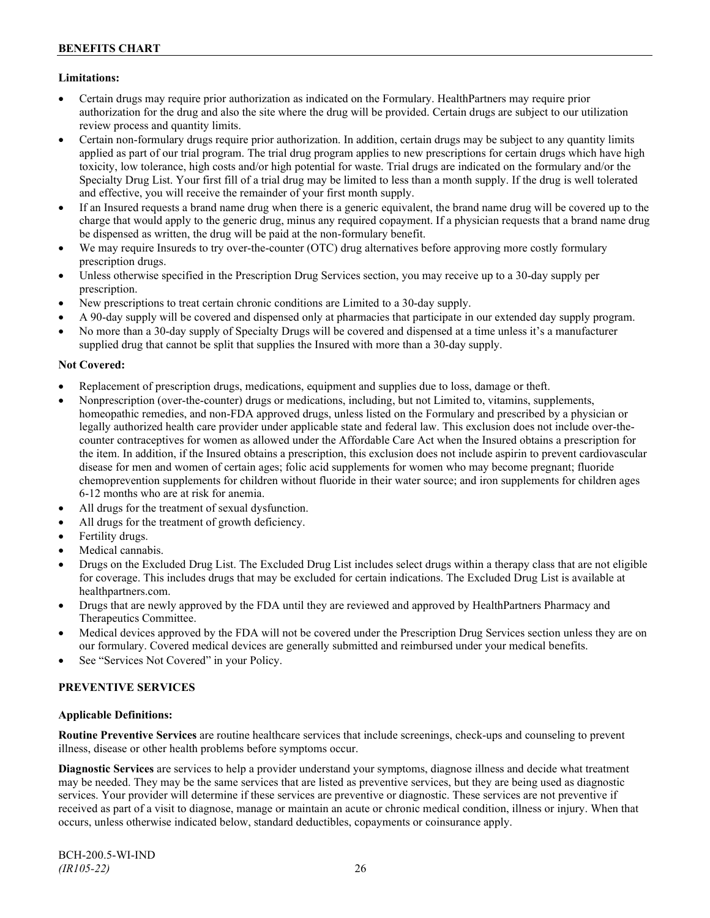## **Limitations:**

- Certain drugs may require prior authorization as indicated on the Formulary. HealthPartners may require prior authorization for the drug and also the site where the drug will be provided. Certain drugs are subject to our utilization review process and quantity limits.
- Certain non-formulary drugs require prior authorization. In addition, certain drugs may be subject to any quantity limits applied as part of our trial program. The trial drug program applies to new prescriptions for certain drugs which have high toxicity, low tolerance, high costs and/or high potential for waste. Trial drugs are indicated on the formulary and/or the Specialty Drug List. Your first fill of a trial drug may be limited to less than a month supply. If the drug is well tolerated and effective, you will receive the remainder of your first month supply.
- If an Insured requests a brand name drug when there is a generic equivalent, the brand name drug will be covered up to the charge that would apply to the generic drug, minus any required copayment. If a physician requests that a brand name drug be dispensed as written, the drug will be paid at the non-formulary benefit.
- We may require Insureds to try over-the-counter (OTC) drug alternatives before approving more costly formulary prescription drugs.
- Unless otherwise specified in the Prescription Drug Services section, you may receive up to a 30-day supply per prescription.
- New prescriptions to treat certain chronic conditions are Limited to a 30-day supply.
- A 90-day supply will be covered and dispensed only at pharmacies that participate in our extended day supply program.
- No more than a 30-day supply of Specialty Drugs will be covered and dispensed at a time unless it's a manufacturer supplied drug that cannot be split that supplies the Insured with more than a 30-day supply.

### **Not Covered:**

- Replacement of prescription drugs, medications, equipment and supplies due to loss, damage or theft.
- Nonprescription (over-the-counter) drugs or medications, including, but not Limited to, vitamins, supplements, homeopathic remedies, and non-FDA approved drugs, unless listed on the Formulary and prescribed by a physician or legally authorized health care provider under applicable state and federal law. This exclusion does not include over-thecounter contraceptives for women as allowed under the Affordable Care Act when the Insured obtains a prescription for the item. In addition, if the Insured obtains a prescription, this exclusion does not include aspirin to prevent cardiovascular disease for men and women of certain ages; folic acid supplements for women who may become pregnant; fluoride chemoprevention supplements for children without fluoride in their water source; and iron supplements for children ages 6-12 months who are at risk for anemia.
- All drugs for the treatment of sexual dysfunction.
- All drugs for the treatment of growth deficiency.
- Fertility drugs.
- Medical cannabis.
- Drugs on the Excluded Drug List. The Excluded Drug List includes select drugs within a therapy class that are not eligible for coverage. This includes drugs that may be excluded for certain indications. The Excluded Drug List is available at [healthpartners.com.](http://www.healthpartners.com/)
- Drugs that are newly approved by the FDA until they are reviewed and approved by HealthPartners Pharmacy and Therapeutics Committee.
- Medical devices approved by the FDA will not be covered under the Prescription Drug Services section unless they are on our formulary. Covered medical devices are generally submitted and reimbursed under your medical benefits.
- See "Services Not Covered" in your Policy.

### **PREVENTIVE SERVICES**

### **Applicable Definitions:**

**Routine Preventive Services** are routine healthcare services that include screenings, check-ups and counseling to prevent illness, disease or other health problems before symptoms occur.

**Diagnostic Services** are services to help a provider understand your symptoms, diagnose illness and decide what treatment may be needed. They may be the same services that are listed as preventive services, but they are being used as diagnostic services. Your provider will determine if these services are preventive or diagnostic. These services are not preventive if received as part of a visit to diagnose, manage or maintain an acute or chronic medical condition, illness or injury. When that occurs, unless otherwise indicated below, standard deductibles, copayments or coinsurance apply.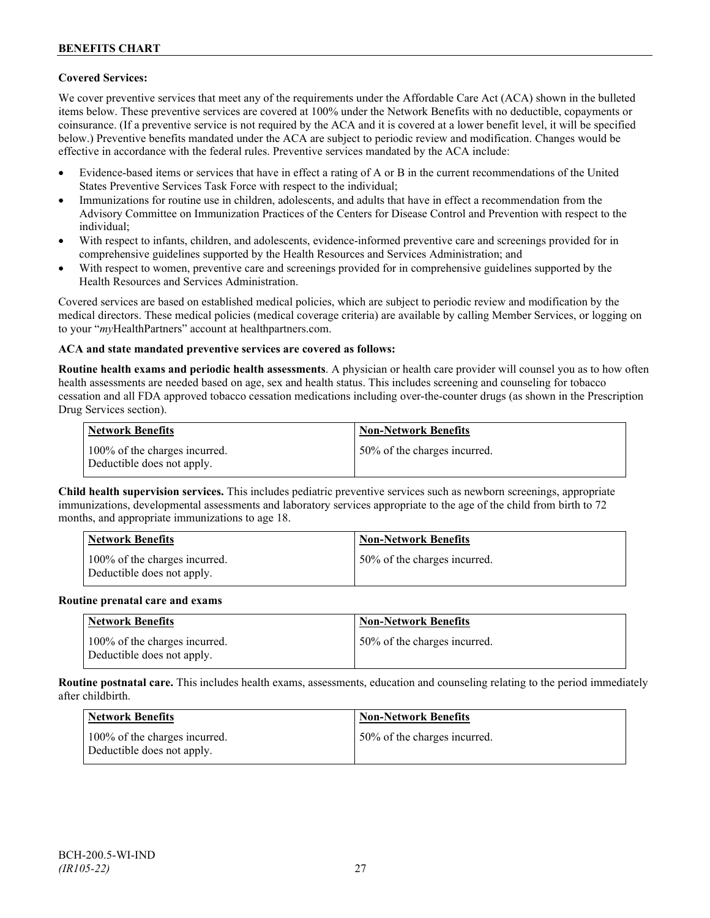### **Covered Services:**

We cover preventive services that meet any of the requirements under the Affordable Care Act (ACA) shown in the bulleted items below. These preventive services are covered at 100% under the Network Benefits with no deductible, copayments or coinsurance. (If a preventive service is not required by the ACA and it is covered at a lower benefit level, it will be specified below.) Preventive benefits mandated under the ACA are subject to periodic review and modification. Changes would be effective in accordance with the federal rules. Preventive services mandated by the ACA include:

- Evidence-based items or services that have in effect a rating of A or B in the current recommendations of the United States Preventive Services Task Force with respect to the individual;
- Immunizations for routine use in children, adolescents, and adults that have in effect a recommendation from the Advisory Committee on Immunization Practices of the Centers for Disease Control and Prevention with respect to the individual;
- With respect to infants, children, and adolescents, evidence-informed preventive care and screenings provided for in comprehensive guidelines supported by the Health Resources and Services Administration; and
- With respect to women, preventive care and screenings provided for in comprehensive guidelines supported by the Health Resources and Services Administration.

Covered services are based on established medical policies, which are subject to periodic review and modification by the medical directors. These medical policies (medical coverage criteria) are available by calling Member Services, or logging on to your "*my*HealthPartners" account at [healthpartners.com.](http://www.healthpartners.com/)

### **ACA and state mandated preventive services are covered as follows:**

**Routine health exams and periodic health assessments**. A physician or health care provider will counsel you as to how often health assessments are needed based on age, sex and health status. This includes screening and counseling for tobacco cessation and all FDA approved tobacco cessation medications including over-the-counter drugs (as shown in the Prescription Drug Services section).

| <b>Network Benefits</b>                                     | <b>Non-Network Benefits</b>  |
|-------------------------------------------------------------|------------------------------|
| 100% of the charges incurred.<br>Deductible does not apply. | 50% of the charges incurred. |

**Child health supervision services.** This includes pediatric preventive services such as newborn screenings, appropriate immunizations, developmental assessments and laboratory services appropriate to the age of the child from birth to 72 months, and appropriate immunizations to age 18.

| <b>Network Benefits</b>                                     | <b>Non-Network Benefits</b>  |
|-------------------------------------------------------------|------------------------------|
| 100% of the charges incurred.<br>Deductible does not apply. | 50% of the charges incurred. |

#### **Routine prenatal care and exams**

| Network Benefits                                            | <b>Non-Network Benefits</b>  |
|-------------------------------------------------------------|------------------------------|
| 100% of the charges incurred.<br>Deductible does not apply. | 50% of the charges incurred. |

**Routine postnatal care.** This includes health exams, assessments, education and counseling relating to the period immediately after childbirth.

| <b>Network Benefits</b>                                     | <b>Non-Network Benefits</b>  |
|-------------------------------------------------------------|------------------------------|
| 100% of the charges incurred.<br>Deductible does not apply. | 50% of the charges incurred. |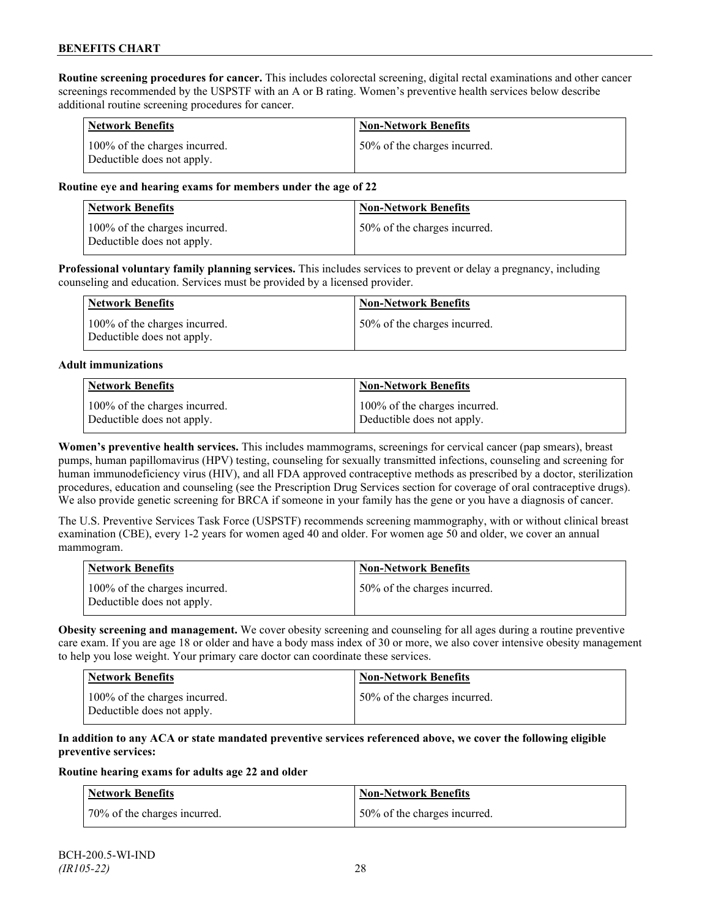**Routine screening procedures for cancer.** This includes colorectal screening, digital rectal examinations and other cancer screenings recommended by the USPSTF with an A or B rating. Women's preventive health services below describe additional routine screening procedures for cancer.

| <b>Network Benefits</b>                                     | <b>Non-Network Benefits</b>  |
|-------------------------------------------------------------|------------------------------|
| 100% of the charges incurred.<br>Deductible does not apply. | 50% of the charges incurred. |

### **Routine eye and hearing exams for members under the age of 22**

| Network Benefits                                            | <b>Non-Network Benefits</b>  |
|-------------------------------------------------------------|------------------------------|
| 100% of the charges incurred.<br>Deductible does not apply. | 50% of the charges incurred. |

**Professional voluntary family planning services.** This includes services to prevent or delay a pregnancy, including counseling and education. Services must be provided by a licensed provider.

| <b>Network Benefits</b>                                     | <b>Non-Network Benefits</b>  |
|-------------------------------------------------------------|------------------------------|
| 100% of the charges incurred.<br>Deductible does not apply. | 50% of the charges incurred. |

#### **Adult immunizations**

| <b>Network Benefits</b>       | <b>Non-Network Benefits</b>   |
|-------------------------------|-------------------------------|
| 100% of the charges incurred. | 100% of the charges incurred. |
| Deductible does not apply.    | Deductible does not apply.    |

**Women's preventive health services.** This includes mammograms, screenings for cervical cancer (pap smears), breast pumps, human papillomavirus (HPV) testing, counseling for sexually transmitted infections, counseling and screening for human immunodeficiency virus (HIV), and all FDA approved contraceptive methods as prescribed by a doctor, sterilization procedures, education and counseling (see the Prescription Drug Services section for coverage of oral contraceptive drugs). We also provide genetic screening for BRCA if someone in your family has the gene or you have a diagnosis of cancer.

The U.S. Preventive Services Task Force (USPSTF) recommends screening mammography, with or without clinical breast examination (CBE), every 1-2 years for women aged 40 and older. For women age 50 and older, we cover an annual mammogram.

| Network Benefits                                            | <b>Non-Network Benefits</b>  |
|-------------------------------------------------------------|------------------------------|
| 100% of the charges incurred.<br>Deductible does not apply. | 50% of the charges incurred. |

**Obesity screening and management.** We cover obesity screening and counseling for all ages during a routine preventive care exam. If you are age 18 or older and have a body mass index of 30 or more, we also cover intensive obesity management to help you lose weight. Your primary care doctor can coordinate these services.

| <b>Network Benefits</b>                                     | Non-Network Benefits         |
|-------------------------------------------------------------|------------------------------|
| 100% of the charges incurred.<br>Deductible does not apply. | 50% of the charges incurred. |

### **In addition to any ACA or state mandated preventive services referenced above, we cover the following eligible preventive services:**

#### **Routine hearing exams for adults age 22 and older**

| Network Benefits             | <b>Non-Network Benefits</b>  |
|------------------------------|------------------------------|
| 70% of the charges incurred. | 50% of the charges incurred. |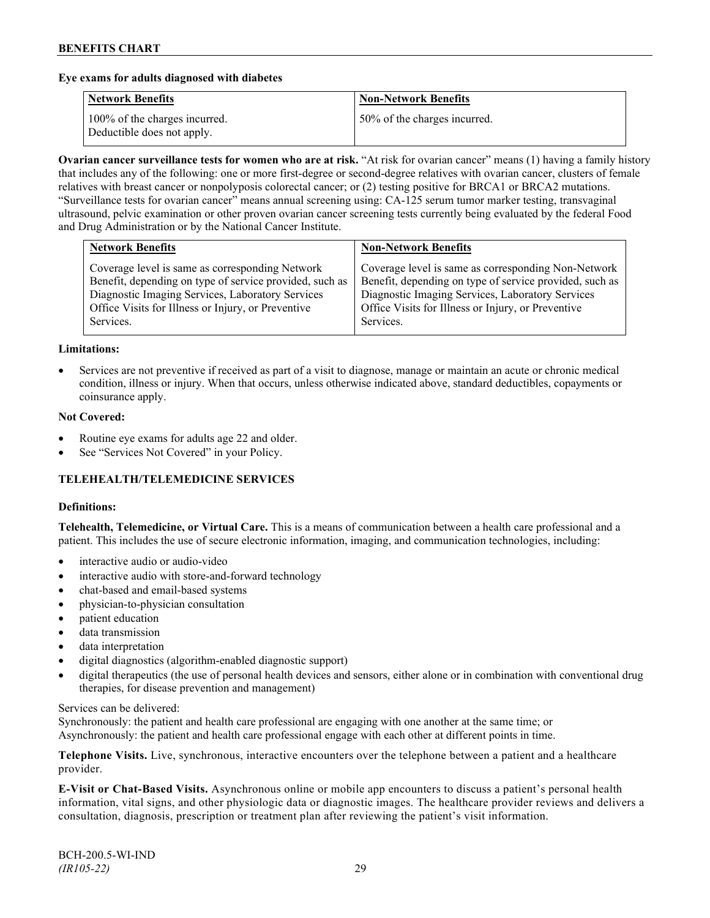### **Eye exams for adults diagnosed with diabetes**

| <b>Network Benefits</b>                                     | <b>Non-Network Benefits</b>  |
|-------------------------------------------------------------|------------------------------|
| 100% of the charges incurred.<br>Deductible does not apply. | 50% of the charges incurred. |

**Ovarian cancer surveillance tests for women who are at risk.** "At risk for ovarian cancer" means (1) having a family history that includes any of the following: one or more first-degree or second-degree relatives with ovarian cancer, clusters of female relatives with breast cancer or nonpolyposis colorectal cancer; or (2) testing positive for BRCA1 or BRCA2 mutations. "Surveillance tests for ovarian cancer" means annual screening using: CA-125 serum tumor marker testing, transvaginal ultrasound, pelvic examination or other proven ovarian cancer screening tests currently being evaluated by the federal Food and Drug Administration or by the National Cancer Institute.

| <b>Network Benefits</b>                                                                                                                                                                                                           | <b>Non-Network Benefits</b>                                                                                                                                                                                                           |
|-----------------------------------------------------------------------------------------------------------------------------------------------------------------------------------------------------------------------------------|---------------------------------------------------------------------------------------------------------------------------------------------------------------------------------------------------------------------------------------|
| Coverage level is same as corresponding Network<br>Benefit, depending on type of service provided, such as<br>Diagnostic Imaging Services, Laboratory Services<br>Office Visits for Illness or Injury, or Preventive<br>Services. | Coverage level is same as corresponding Non-Network<br>Benefit, depending on type of service provided, such as<br>Diagnostic Imaging Services, Laboratory Services<br>Office Visits for Illness or Injury, or Preventive<br>Services. |
|                                                                                                                                                                                                                                   |                                                                                                                                                                                                                                       |

#### **Limitations:**

• Services are not preventive if received as part of a visit to diagnose, manage or maintain an acute or chronic medical condition, illness or injury. When that occurs, unless otherwise indicated above, standard deductibles, copayments or coinsurance apply.

#### **Not Covered:**

- Routine eye exams for adults age 22 and older.
- See "Services Not Covered" in your Policy.

## **TELEHEALTH/TELEMEDICINE SERVICES**

#### **Definitions:**

**Telehealth, Telemedicine, or Virtual Care.** This is a means of communication between a health care professional and a patient. This includes the use of secure electronic information, imaging, and communication technologies, including:

- interactive audio or audio-video
- interactive audio with store-and-forward technology
- chat-based and email-based systems
- physician-to-physician consultation
- patient education
- data transmission
- data interpretation
- digital diagnostics (algorithm-enabled diagnostic support)
- digital therapeutics (the use of personal health devices and sensors, either alone or in combination with conventional drug therapies, for disease prevention and management)

#### Services can be delivered:

Synchronously: the patient and health care professional are engaging with one another at the same time; or Asynchronously: the patient and health care professional engage with each other at different points in time.

**Telephone Visits.** Live, synchronous, interactive encounters over the telephone between a patient and a healthcare provider.

**E-Visit or Chat-Based Visits.** Asynchronous online or mobile app encounters to discuss a patient's personal health information, vital signs, and other physiologic data or diagnostic images. The healthcare provider reviews and delivers a consultation, diagnosis, prescription or treatment plan after reviewing the patient's visit information.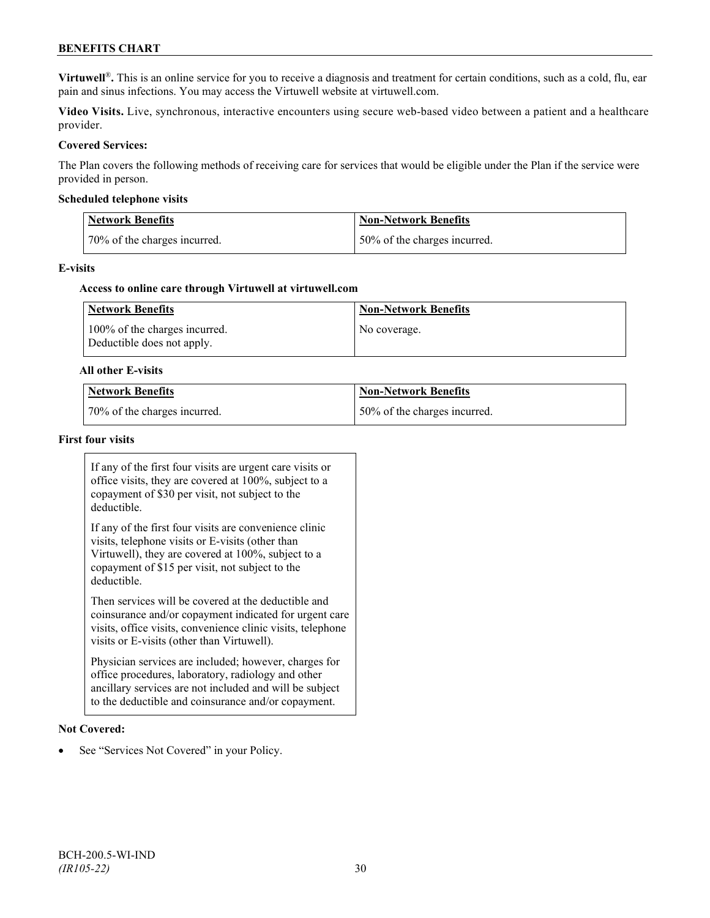## **BENEFITS CHART**

**Virtuwell<sup>®</sup>**. This is an online service for you to receive a diagnosis and treatment for certain conditions, such as a cold, flu, ear pain and sinus infections. You may access the Virtuwell website at [virtuwell.com.](https://www.virtuwell.com/)

**Video Visits.** Live, synchronous, interactive encounters using secure web-based video between a patient and a healthcare provider.

### **Covered Services:**

The Plan covers the following methods of receiving care for services that would be eligible under the Plan if the service were provided in person.

#### **Scheduled telephone visits**

| Network Benefits             | <b>Non-Network Benefits</b>  |
|------------------------------|------------------------------|
| 70% of the charges incurred. | 50% of the charges incurred. |

#### **E-visits**

#### **Access to online care through Virtuwell at [virtuwell.com](http://www.virtuwell.com/)**

| Network Benefits                                            | <b>Non-Network Benefits</b> |
|-------------------------------------------------------------|-----------------------------|
| 100% of the charges incurred.<br>Deductible does not apply. | No coverage.                |

#### **All other E-visits**

| Network Benefits             | Non-Network Benefits         |
|------------------------------|------------------------------|
| 70% of the charges incurred. | 50% of the charges incurred. |

#### **First four visits**

If any of the first four visits are urgent care visits or office visits, they are covered at 100%, subject to a copayment of \$30 per visit, not subject to the deductible.

If any of the first four visits are convenience clinic visits, telephone visits or E-visits (other than Virtuwell), they are covered at 100%, subject to a copayment of \$15 per visit, not subject to the deductible.

Then services will be covered at the deductible and coinsurance and/or copayment indicated for urgent care visits, office visits, convenience clinic visits, telephone visits or E-visits (other than Virtuwell).

Physician services are included; however, charges for office procedures, laboratory, radiology and other ancillary services are not included and will be subject to the deductible and coinsurance and/or copayment.

#### **Not Covered:**

See "Services Not Covered" in your Policy.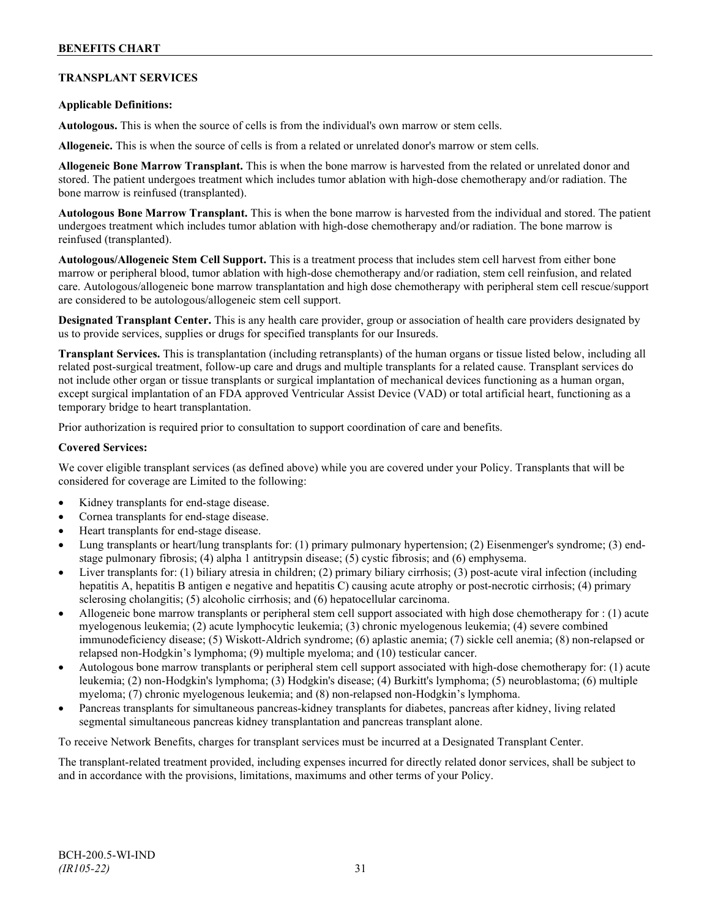## **TRANSPLANT SERVICES**

### **Applicable Definitions:**

**Autologous.** This is when the source of cells is from the individual's own marrow or stem cells.

**Allogeneic.** This is when the source of cells is from a related or unrelated donor's marrow or stem cells.

**Allogeneic Bone Marrow Transplant.** This is when the bone marrow is harvested from the related or unrelated donor and stored. The patient undergoes treatment which includes tumor ablation with high-dose chemotherapy and/or radiation. The bone marrow is reinfused (transplanted).

**Autologous Bone Marrow Transplant.** This is when the bone marrow is harvested from the individual and stored. The patient undergoes treatment which includes tumor ablation with high-dose chemotherapy and/or radiation. The bone marrow is reinfused (transplanted).

**Autologous/Allogeneic Stem Cell Support.** This is a treatment process that includes stem cell harvest from either bone marrow or peripheral blood, tumor ablation with high-dose chemotherapy and/or radiation, stem cell reinfusion, and related care. Autologous/allogeneic bone marrow transplantation and high dose chemotherapy with peripheral stem cell rescue/support are considered to be autologous/allogeneic stem cell support.

**Designated Transplant Center.** This is any health care provider, group or association of health care providers designated by us to provide services, supplies or drugs for specified transplants for our Insureds.

**Transplant Services.** This is transplantation (including retransplants) of the human organs or tissue listed below, including all related post-surgical treatment, follow-up care and drugs and multiple transplants for a related cause. Transplant services do not include other organ or tissue transplants or surgical implantation of mechanical devices functioning as a human organ, except surgical implantation of an FDA approved Ventricular Assist Device (VAD) or total artificial heart, functioning as a temporary bridge to heart transplantation.

Prior authorization is required prior to consultation to support coordination of care and benefits.

#### **Covered Services:**

We cover eligible transplant services (as defined above) while you are covered under your Policy. Transplants that will be considered for coverage are Limited to the following:

- Kidney transplants for end-stage disease.
- Cornea transplants for end-stage disease.
- Heart transplants for end-stage disease.
- Lung transplants or heart/lung transplants for: (1) primary pulmonary hypertension; (2) Eisenmenger's syndrome; (3) endstage pulmonary fibrosis; (4) alpha 1 antitrypsin disease; (5) cystic fibrosis; and (6) emphysema.
- Liver transplants for: (1) biliary atresia in children; (2) primary biliary cirrhosis; (3) post-acute viral infection (including hepatitis A, hepatitis B antigen e negative and hepatitis C) causing acute atrophy or post-necrotic cirrhosis; (4) primary sclerosing cholangitis; (5) alcoholic cirrhosis; and (6) hepatocellular carcinoma.
- Allogeneic bone marrow transplants or peripheral stem cell support associated with high dose chemotherapy for : (1) acute myelogenous leukemia; (2) acute lymphocytic leukemia; (3) chronic myelogenous leukemia; (4) severe combined immunodeficiency disease; (5) Wiskott-Aldrich syndrome; (6) aplastic anemia; (7) sickle cell anemia; (8) non-relapsed or relapsed non-Hodgkin's lymphoma; (9) multiple myeloma; and (10) testicular cancer.
- Autologous bone marrow transplants or peripheral stem cell support associated with high-dose chemotherapy for: (1) acute leukemia; (2) non-Hodgkin's lymphoma; (3) Hodgkin's disease; (4) Burkitt's lymphoma; (5) neuroblastoma; (6) multiple myeloma; (7) chronic myelogenous leukemia; and (8) non-relapsed non-Hodgkin's lymphoma.
- Pancreas transplants for simultaneous pancreas-kidney transplants for diabetes, pancreas after kidney, living related segmental simultaneous pancreas kidney transplantation and pancreas transplant alone.

To receive Network Benefits, charges for transplant services must be incurred at a Designated Transplant Center.

The transplant-related treatment provided, including expenses incurred for directly related donor services, shall be subject to and in accordance with the provisions, limitations, maximums and other terms of your Policy.